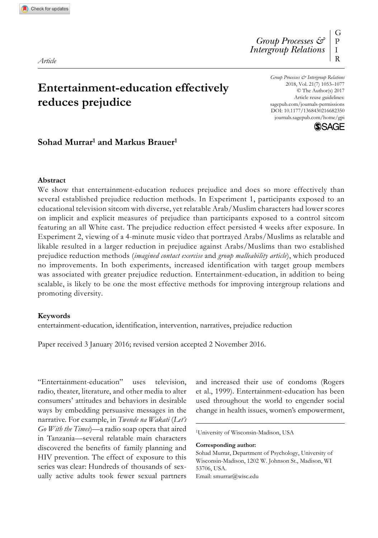*Article*

# **Entertainment-education effectively reduces prejudice**

DOI: 10.1177/1368430216682350 *Group Processes & Intergroup Relations* 2018, Vol. 21(7) 1053–1077 © The Author(s) 2017 Article reuse guidelines: [sagepub.com/journals-permissions](https://uk.sagepub.com/en-gb/journals-permissions) [journals.sagepub.com/home/gpi](https://journals.sagepub.com/home/gpi)



# **Sohad Murrar1 and Markus Brauer1**

#### **Abstract**

We show that entertainment-education reduces prejudice and does so more effectively than several established prejudice reduction methods. In Experiment 1, participants exposed to an educational television sitcom with diverse, yet relatable Arab/Muslim characters had lower scores on implicit and explicit measures of prejudice than participants exposed to a control sitcom featuring an all White cast. The prejudice reduction effect persisted 4 weeks after exposure. In Experiment 2, viewing of a 4-minute music video that portrayed Arabs/Muslims as relatable and likable resulted in a larger reduction in prejudice against Arabs/Muslims than two established prejudice reduction methods (*imagined contact exercise* and *group malleability article*), which produced no improvements. In both experiments, increased identification with target group members was associated with greater prejudice reduction. Entertainment-education, in addition to being scalable, is likely to be one the most effective methods for improving intergroup relations and promoting diversity.

#### **Keywords**

entertainment-education, identification, intervention, narratives, prejudice reduction

Paper received 3 January 2016; revised version accepted 2 November 2016.

"Entertainment-education" uses television, radio, theater, literature, and other media to alter consumers' attitudes and behaviors in desirable ways by embedding persuasive messages in the narrative. For example, in *Twende na Wakati* (*Let's Go With the Times*)—a radio soap opera that aired in Tanzania—several relatable main characters discovered the benefits of family planning and HIV prevention. The effect of exposure to this series was clear: Hundreds of thousands of sexually active adults took fewer sexual partners

and increased their use of condoms (Rogers et al., 1999). Entertainment-education has been used throughout the world to engender social change in health issues, women's empowerment,

1University of Wisconsin-Madison, USA

**Corresponding author:**

Email: [smurrar@wisc.edu](mailto:smurrar@wisc.edu)

Sohad Murrar, Department of Psychology, University of Wisconsin-Madison, 1202 W. Johnson St., Madison, WI 53706, USA.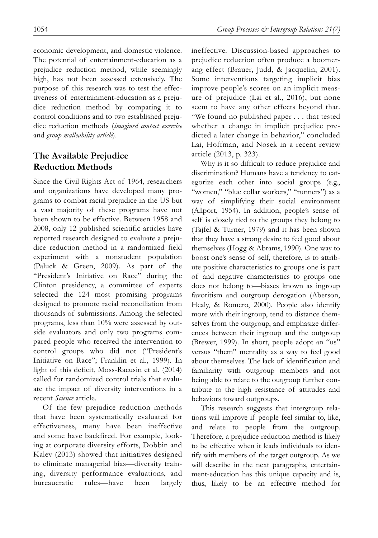economic development, and domestic violence. The potential of entertainment-education as a prejudice reduction method, while seemingly high, has not been assessed extensively. The purpose of this research was to test the effectiveness of entertainment-education as a prejudice reduction method by comparing it to control conditions and to two established prejudice reduction methods (*imagined contact exercise* and *group malleability article*).

# **The Available Prejudice Reduction Methods**

Since the Civil Rights Act of 1964, researchers and organizations have developed many programs to combat racial prejudice in the US but a vast majority of these programs have not been shown to be effective. Between 1958 and 2008, only 12 published scientific articles have reported research designed to evaluate a prejudice reduction method in a randomized field experiment with a nonstudent population (Paluck & Green, 2009). As part of the "President's Initiative on Race" during the Clinton presidency, a committee of experts selected the 124 most promising programs designed to promote racial reconciliation from thousands of submissions. Among the selected programs, less than 10% were assessed by outside evaluators and only two programs compared people who received the intervention to control groups who did not ("President's Initiative on Race"; Franklin et al., 1999). In light of this deficit, Moss-Racusin et al. (2014) called for randomized control trials that evaluate the impact of diversity interventions in a recent *Science* article.

Of the few prejudice reduction methods that have been systematically evaluated for effectiveness, many have been ineffective and some have backfired. For example, looking at corporate diversity efforts, Dobbin and Kalev (2013) showed that initiatives designed to eliminate managerial bias—diversity training, diversity performance evaluations, and bureaucratic rules—have been largely ineffective. Discussion-based approaches to prejudice reduction often produce a boomerang effect (Brauer, Judd, & Jacquelin, 2001). Some interventions targeting implicit bias improve people's scores on an implicit measure of prejudice (Lai et al., 2016), but none seem to have any other effects beyond that. "We found no published paper . . . that tested whether a change in implicit prejudice predicted a later change in behavior," concluded Lai, Hoffman, and Nosek in a recent review article (2013, p. 323).

Why is it so difficult to reduce prejudice and discrimination? Humans have a tendency to categorize each other into social groups (e.g., "women," "blue collar workers," "runners") as a way of simplifying their social environment (Allport, 1954). In addition, people's sense of self is closely tied to the groups they belong to (Tajfel & Turner, 1979) and it has been shown that they have a strong desire to feel good about themselves (Hogg & Abrams, 1990). One way to boost one's sense of self, therefore, is to attribute positive characteristics to groups one is part of and negative characteristics to groups one does not belong to—biases known as ingroup favoritism and outgroup derogation (Aberson, Healy, & Romero, 2000). People also identify more with their ingroup, tend to distance themselves from the outgroup, and emphasize differences between their ingroup and the outgroup (Brewer, 1999). In short, people adopt an "us" versus "them" mentality as a way to feel good about themselves. The lack of identification and familiarity with outgroup members and not being able to relate to the outgroup further contribute to the high resistance of attitudes and behaviors toward outgroups.

This research suggests that intergroup relations will improve if people feel similar to, like, and relate to people from the outgroup. Therefore, a prejudice reduction method is likely to be effective when it leads individuals to identify with members of the target outgroup. As we will describe in the next paragraphs, entertainment-education has this unique capacity and is, thus, likely to be an effective method for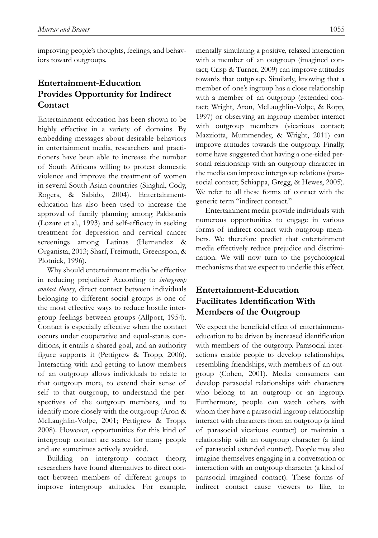improving people's thoughts, feelings, and behaviors toward outgroups.

# **Entertainment-Education Provides Opportunity for Indirect Contact**

Entertainment-education has been shown to be highly effective in a variety of domains. By embedding messages about desirable behaviors in entertainment media, researchers and practitioners have been able to increase the number of South Africans willing to protest domestic violence and improve the treatment of women in several South Asian countries (Singhal, Cody, Rogers, & Sabido, 2004). Entertainmenteducation has also been used to increase the approval of family planning among Pakistanis (Lozare et al., 1993) and self-efficacy in seeking treatment for depression and cervical cancer screenings among Latinas (Hernandez & Organista, 2013; Sharf, Freimuth, Greenspon, & Plotnick, 1996).

Why should entertainment media be effective in reducing prejudice? According to *intergroup contact theory*, direct contact between individuals belonging to different social groups is one of the most effective ways to reduce hostile intergroup feelings between groups (Allport, 1954). Contact is especially effective when the contact occurs under cooperative and equal-status conditions, it entails a shared goal, and an authority figure supports it (Pettigrew & Tropp, 2006). Interacting with and getting to know members of an outgroup allows individuals to relate to that outgroup more, to extend their sense of self to that outgroup, to understand the perspectives of the outgroup members, and to identify more closely with the outgroup (Aron & McLaughlin-Volpe, 2001; Pettigrew & Tropp, 2008). However, opportunities for this kind of intergroup contact are scarce for many people and are sometimes actively avoided.

Building on intergroup contact theory, researchers have found alternatives to direct contact between members of different groups to improve intergroup attitudes. For example,

mentally simulating a positive, relaxed interaction with a member of an outgroup (imagined contact; Crisp & Turner, 2009) can improve attitudes towards that outgroup. Similarly, knowing that a member of one's ingroup has a close relationship with a member of an outgroup (extended contact; Wright, Aron, McLaughlin-Volpe, & Ropp, 1997) or observing an ingroup member interact with outgroup members (vicarious contact; Mazziotta, Mummendey, & Wright, 2011) can improve attitudes towards the outgroup. Finally, some have suggested that having a one-sided personal relationship with an outgroup character in the media can improve intergroup relations (parasocial contact; Schiappa, Gregg, & Hewes, 2005). We refer to all these forms of contact with the generic term "indirect contact."

Entertainment media provide individuals with numerous opportunities to engage in various forms of indirect contact with outgroup members. We therefore predict that entertainment media effectively reduce prejudice and discrimination. We will now turn to the psychological mechanisms that we expect to underlie this effect.

# **Entertainment-Education Facilitates Identification With Members of the Outgroup**

We expect the beneficial effect of entertainmenteducation to be driven by increased identification with members of the outgroup. Parasocial interactions enable people to develop relationships, resembling friendships, with members of an outgroup (Cohen, 2001). Media consumers can develop parasocial relationships with characters who belong to an outgroup or an ingroup. Furthermore, people can watch others with whom they have a parasocial ingroup relationship interact with characters from an outgroup (a kind of parasocial vicarious contact) or maintain a relationship with an outgroup character (a kind of parasocial extended contact). People may also imagine themselves engaging in a conversation or interaction with an outgroup character (a kind of parasocial imagined contact). These forms of indirect contact cause viewers to like, to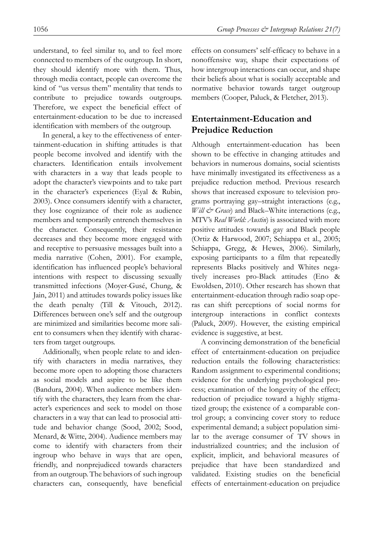understand, to feel similar to, and to feel more connected to members of the outgroup. In short, they should identify more with them. Thus, through media contact, people can overcome the kind of "us versus them" mentality that tends to contribute to prejudice towards outgroups. Therefore, we expect the beneficial effect of entertainment-education to be due to increased

identification with members of the outgroup. In general, a key to the effectiveness of entertainment-education in shifting attitudes is that people become involved and identify with the characters. Identification entails involvement with characters in a way that leads people to adopt the character's viewpoints and to take part in the character's experiences (Eyal & Rubin, 2003). Once consumers identify with a character, they lose cognizance of their role as audience members and temporarily entrench themselves in the character. Consequently, their resistance decreases and they become more engaged with and receptive to persuasive messages built into a media narrative (Cohen, 2001). For example, identification has influenced people's behavioral intentions with respect to discussing sexually transmitted infections (Moyer-Gusé, Chung, & Jain, 2011) and attitudes towards policy issues like the death penalty (Till & Vitouch, 2012). Differences between one's self and the outgroup are minimized and similarities become more salient to consumers when they identify with characters from target outgroups.

Additionally, when people relate to and identify with characters in media narratives, they become more open to adopting those characters as social models and aspire to be like them (Bandura, 2004). When audience members identify with the characters, they learn from the character's experiences and seek to model on those characters in a way that can lead to prosocial attitude and behavior change (Sood, 2002; Sood, Menard, & Witte, 2004). Audience members may come to identify with characters from their ingroup who behave in ways that are open, friendly, and nonprejudiced towards characters from an outgroup. The behaviors of such ingroup characters can, consequently, have beneficial effects on consumers' self-efficacy to behave in a nonoffensive way, shape their expectations of how intergroup interactions can occur, and shape their beliefs about what is socially acceptable and normative behavior towards target outgroup members (Cooper, Paluck, & Fletcher, 2013).

# **Entertainment-Education and Prejudice Reduction**

Although entertainment-education has been shown to be effective in changing attitudes and behaviors in numerous domains, social scientists have minimally investigated its effectiveness as a prejudice reduction method. Previous research shows that increased exposure to television programs portraying gay–straight interactions (e.g., *Will & Grace*) and Black–White interactions (e.g., MTV's *Real World: Austin*) is associated with more positive attitudes towards gay and Black people (Ortiz & Harwood, 2007; Schiappa et al., 2005; Schiappa, Gregg, & Hewes, 2006). Similarly, exposing participants to a film that repeatedly represents Blacks positively and Whites negatively increases pro-Black attitudes (Eno & Ewoldsen, 2010). Other research has shown that entertainment-education through radio soap operas can shift perceptions of social norms for intergroup interactions in conflict contexts (Paluck, 2009). However, the existing empirical evidence is suggestive, at best.

A convincing demonstration of the beneficial effect of entertainment-education on prejudice reduction entails the following characteristics: Random assignment to experimental conditions; evidence for the underlying psychological process; examination of the longevity of the effect; reduction of prejudice toward a highly stigmatized group; the existence of a comparable control group; a convincing cover story to reduce experimental demand; a subject population similar to the average consumer of TV shows in industrialized countries; and the inclusion of explicit, implicit, and behavioral measures of prejudice that have been standardized and validated. Existing studies on the beneficial effects of entertainment-education on prejudice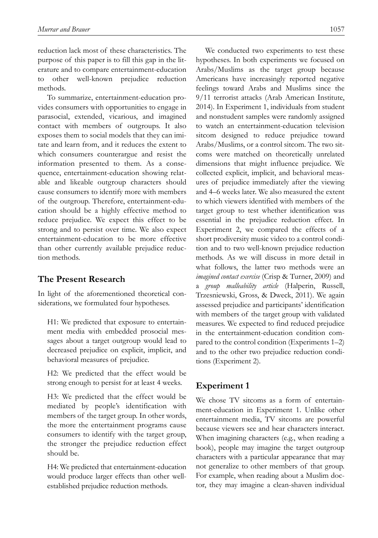reduction lack most of these characteristics. The purpose of this paper is to fill this gap in the literature and to compare entertainment-education to other well-known prejudice reduction methods.

To summarize, entertainment-education provides consumers with opportunities to engage in parasocial, extended, vicarious, and imagined contact with members of outgroups. It also exposes them to social models that they can imitate and learn from, and it reduces the extent to which consumers counterargue and resist the information presented to them. As a consequence, entertainment-education showing relatable and likeable outgroup characters should cause consumers to identify more with members of the outgroup. Therefore, entertainment-education should be a highly effective method to reduce prejudice. We expect this effect to be strong and to persist over time. We also expect entertainment-education to be more effective than other currently available prejudice reduction methods.

### **The Present Research**

In light of the aforementioned theoretical considerations, we formulated four hypotheses.

H1: We predicted that exposure to entertainment media with embedded prosocial messages about a target outgroup would lead to decreased prejudice on explicit, implicit, and behavioral measures of prejudice.

H2: We predicted that the effect would be strong enough to persist for at least 4 weeks.

H3: We predicted that the effect would be mediated by people's identification with members of the target group. In other words, the more the entertainment programs cause consumers to identify with the target group, the stronger the prejudice reduction effect should be.

H4: We predicted that entertainment-education would produce larger effects than other wellestablished prejudice reduction methods.

We conducted two experiments to test these hypotheses. In both experiments we focused on Arabs/Muslims as the target group because Americans have increasingly reported negative feelings toward Arabs and Muslims since the 9/11 terrorist attacks (Arab American Institute, 2014). In Experiment 1, individuals from student and nonstudent samples were randomly assigned to watch an entertainment-education television sitcom designed to reduce prejudice toward Arabs/Muslims, or a control sitcom. The two sitcoms were matched on theoretically unrelated dimensions that might influence prejudice. We collected explicit, implicit, and behavioral measures of prejudice immediately after the viewing and 4–6 weeks later. We also measured the extent to which viewers identified with members of the target group to test whether identification was essential in the prejudice reduction effect. In Experiment 2, we compared the effects of a short prodiversity music video to a control condition and to two well-known prejudice reduction methods. As we will discuss in more detail in what follows, the latter two methods were an *imagined contact exercise* (Crisp & Turner, 2009) and a *group malleability article* (Halperin, Russell, Trzesniewski, Gross, & Dweck, 2011). We again assessed prejudice and participants' identification with members of the target group with validated measures. We expected to find reduced prejudice in the entertainment-education condition compared to the control condition (Experiments 1–2) and to the other two prejudice reduction conditions (Experiment 2).

# **Experiment 1**

We chose TV sitcoms as a form of entertainment-education in Experiment 1. Unlike other entertainment media, TV sitcoms are powerful because viewers see and hear characters interact. When imagining characters (e.g., when reading a book), people may imagine the target outgroup characters with a particular appearance that may not generalize to other members of that group. For example, when reading about a Muslim doctor, they may imagine a clean-shaven individual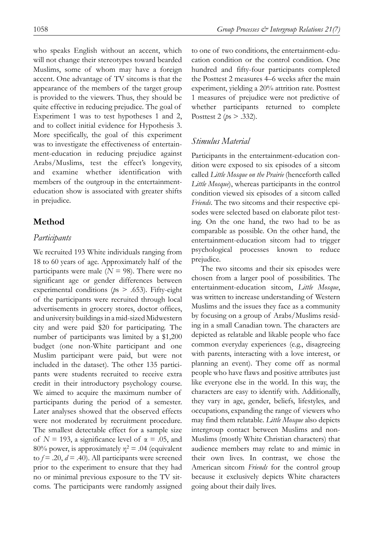who speaks English without an accent, which will not change their stereotypes toward bearded Muslims, some of whom may have a foreign accent. One advantage of TV sitcoms is that the appearance of the members of the target group is provided to the viewers. Thus, they should be quite effective in reducing prejudice. The goal of Experiment 1 was to test hypotheses 1 and 2, and to collect initial evidence for Hypothesis 3. More specifically, the goal of this experiment was to investigate the effectiveness of entertainment-education in reducing prejudice against Arabs/Muslims, test the effect's longevity, and examine whether identification with members of the outgroup in the entertainmenteducation show is associated with greater shifts in prejudice.

## **Method**

#### *Participants*

We recruited 193 White individuals ranging from 18 to 60 years of age. Approximately half of the participants were male  $(N = 98)$ . There were no significant age or gender differences between experimental conditions (*p*s > .653). Fifty-eight of the participants were recruited through local advertisements in grocery stores, doctor offices, and university buildings in a mid-sized Midwestern city and were paid \$20 for participating. The number of participants was limited by a \$1,200 budget (one non-White participant and one Muslim participant were paid, but were not included in the dataset). The other 135 participants were students recruited to receive extra credit in their introductory psychology course. We aimed to acquire the maximum number of participants during the period of a semester. Later analyses showed that the observed effects were not moderated by recruitment procedure. The smallest detectable effect for a sample size of  $N = 193$ , a significance level of  $\alpha = .05$ , and 80% power, is approximately  $\eta^2 = .04$  (equivalent to  $f = .20$ ,  $d = .40$ ). All participants were screened prior to the experiment to ensure that they had no or minimal previous exposure to the TV sitcoms. The participants were randomly assigned to one of two conditions, the entertainment-education condition or the control condition. One hundred and fifty-four participants completed the Posttest 2 measures 4–6 weeks after the main experiment, yielding a 20% attrition rate. Posttest 1 measures of prejudice were not predictive of whether participants returned to complete Posttest 2 (*p*s > .332).

### *Stimulus Material*

Participants in the entertainment-education condition were exposed to six episodes of a sitcom called *Little Mosque on the Prairie* (henceforth called *Little Mosque*), whereas participants in the control condition viewed six episodes of a sitcom called *Friends*. The two sitcoms and their respective episodes were selected based on elaborate pilot testing. On the one hand, the two had to be as comparable as possible. On the other hand, the entertainment-education sitcom had to trigger psychological processes known to reduce prejudice.

The two sitcoms and their six episodes were chosen from a larger pool of possibilities. The entertainment-education sitcom, *Little Mosque*, was written to increase understanding of Western Muslims and the issues they face as a community by focusing on a group of Arabs/Muslims residing in a small Canadian town. The characters are depicted as relatable and likable people who face common everyday experiences (e.g., disagreeing with parents, interacting with a love interest, or planning an event). They come off as normal people who have flaws and positive attributes just like everyone else in the world. In this way, the characters are easy to identify with. Additionally, they vary in age, gender, beliefs, lifestyles, and occupations, expanding the range of viewers who may find them relatable. *Little Mosque* also depicts intergroup contact between Muslims and non-Muslims (mostly White Christian characters) that audience members may relate to and mimic in their own lives. In contrast, we chose the American sitcom *Friends* for the control group because it exclusively depicts White characters going about their daily lives.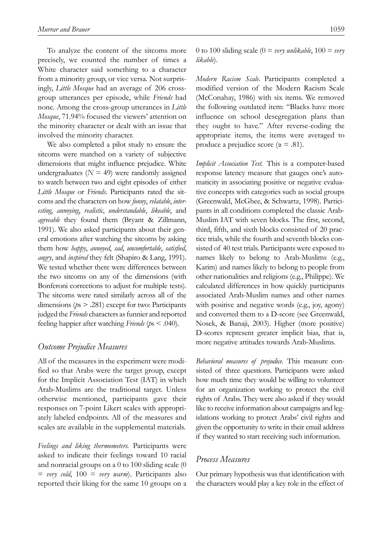To analyze the content of the sitcoms more precisely, we counted the number of times a White character said something to a character from a minority group, or vice versa. Not surprisingly, *Little Mosque* had an average of 206 crossgroup utterances per episode, while *Friends* had none. Among the cross-group utterances in *Little Mosque*, 71.94% focused the viewers' attention on the minority character or dealt with an issue that involved the minority character.

We also completed a pilot study to ensure the sitcoms were matched on a variety of subjective dimensions that might influence prejudice. White undergraduates  $(N = 49)$  were randomly assigned to watch between two and eight episodes of either *Little Mosque* or *Friends*. Participants rated the sitcoms and the characters on how *funny*, *relatable*, *interesting*, *annoying*, *realistic*, *understandable*, *likeable*, and *agreeable* they found them (Bryant & Zillmann, 1991). We also asked participants about their general emotions after watching the sitcoms by asking them how *happy*, *annoyed*, *sad*, *uncomfortable*, *satisfied*, *angry*, and *inspired* they felt (Shapiro & Lang, 1991). We tested whether there were differences between the two sitcoms on any of the dimensions (with Bonferoni corrections to adjust for multiple tests). The sitcoms were rated similarly across all of the dimensions (*p*s > .281) except for two: Participants judged the *Friends* characters as funnier and reported feeling happier after watching *Friends* (*p*s < .040).

#### *Outcome Prejudice Measures*

All of the measures in the experiment were modified so that Arabs were the target group, except for the Implicit Association Test (IAT) in which Arab-Muslims are the traditional target. Unless otherwise mentioned, participants gave their responses on 7-point Likert scales with appropriately labeled endpoints. All of the measures and scales are available in the supplemental materials.

*Feelings and liking thermometers.* Participants were asked to indicate their feelings toward 10 racial and nonracial groups on a 0 to 100 sliding scale (0 = *very cold*, 100 = *very warm*). Participants also reported their liking for the same 10 groups on a

0 to 100 sliding scale  $(0 = v \cdot \text{very} \text{ unlikeable}, 100 = v \cdot \text{very} \text{?}$ *likable*).

*Modern Racism Scale.* Participants completed a modified version of the Modern Racism Scale (McConahay, 1986) with six items. We removed the following outdated item: "Blacks have more influence on school desegregation plans than they ought to have." After reverse-coding the appropriate items, the items were averaged to produce a prejudice score ( $\alpha = .81$ ).

*Implicit Association Test.* This is a computer-based response latency measure that gauges one's automaticity in associating positive or negative evaluative concepts with categories such as social groups (Greenwald, McGhee, & Schwartz, 1998). Participants in all conditions completed the classic Arab-Muslim IAT with seven blocks. The first, second, third, fifth, and sixth blocks consisted of 20 practice trials, while the fourth and seventh blocks consisted of 40 test trials. Participants were exposed to names likely to belong to Arab-Muslims (e.g., Karim) and names likely to belong to people from other nationalities and religions (e.g., Philippe). We calculated differences in how quickly participants associated Arab-Muslim names and other names with positive and negative words (e.g., joy, agony) and converted them to a D-score (see Greenwald, Nosek, & Banaji, 2003). Higher (more positive) D-scores represent greater implicit bias, that is, more negative attitudes towards Arab-Muslims.

*Behavioral measures of prejudice.* This measure consisted of three questions. Participants were asked how much time they would be willing to volunteer for an organization working to protect the civil rights of Arabs. They were also asked if they would like to receive information about campaigns and legislations working to protect Arabs' civil rights and given the opportunity to write in their email address if they wanted to start receiving such information.

#### *Process Measures*

Our primary hypothesis was that identification with the characters would play a key role in the effect of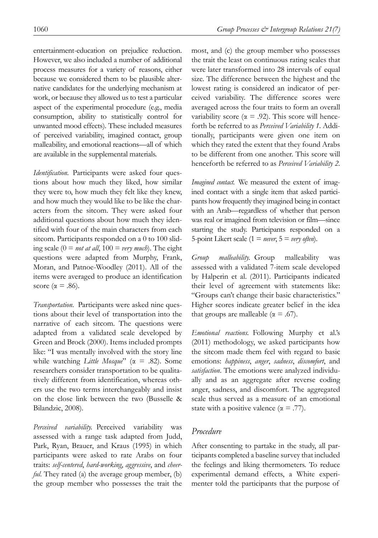entertainment-education on prejudice reduction. However, we also included a number of additional process measures for a variety of reasons, either because we considered them to be plausible alternative candidates for the underlying mechanism at work, or because they allowed us to test a particular aspect of the experimental procedure (e.g., media consumption, ability to statistically control for unwanted mood effects). These included measures of perceived variability, imagined contact, group malleability, and emotional reactions—all of which are available in the supplemental materials.

*Identification.* Participants were asked four questions about how much they liked, how similar they were to, how much they felt like they knew, and how much they would like to be like the characters from the sitcom. They were asked four additional questions about how much they identified with four of the main characters from each sitcom. Participants responded on a 0 to 100 sliding scale  $(0 = not at all, 100 = very much)$ . The eight questions were adapted from Murphy, Frank, Moran, and Patnoe-Woodley (2011). All of the items were averaged to produce an identification score ( $\alpha = .86$ ).

*Transportation.* Participants were asked nine questions about their level of transportation into the narrative of each sitcom. The questions were adapted from a validated scale developed by Green and Brock (2000). Items included prompts like: "I was mentally involved with the story line while watching *Little Mosque*" (α = .82). Some researchers consider transportation to be qualitatively different from identification, whereas others use the two terms interchangeably and insist on the close link between the two (Busselle & Bilandzic, 2008).

*Perceived variability.* Perceived variability was assessed with a range task adapted from Judd, Park, Ryan, Brauer, and Kraus (1995) in which participants were asked to rate Arabs on four traits: *self-centered*, *hard-working*, *aggressive*, and *cheerful*. They rated (a) the average group member, (b) the group member who possesses the trait the

most, and (c) the group member who possesses the trait the least on continuous rating scales that were later transformed into 28 intervals of equal size. The difference between the highest and the lowest rating is considered an indicator of perceived variability. The difference scores were averaged across the four traits to form an overall variability score ( $\alpha$  = .92). This score will henceforth be referred to as *Perceived Variability 1*. Additionally, participants were given one item on which they rated the extent that they found Arabs to be different from one another. This score will henceforth be referred to as *Perceived Variability 2.*

*Imagined contact.* We measured the extent of imagined contact with a single item that asked participants how frequently they imagined being in contact with an Arab—regardless of whether that person was real or imagined from television or film—since starting the study. Participants responded on a 5-point Likert scale (1 = *never*, 5 = *very often*).

*Group malleability.* Group malleability was assessed with a validated 7-item scale developed by Halperin et al. (2011). Participants indicated their level of agreement with statements like: "Groups can't change their basic characteristics." Higher scores indicate greater belief in the idea that groups are malleable ( $\alpha = .67$ ).

*Emotional reactions.* Following Murphy et al.'s (2011) methodology, we asked participants how the sitcom made them feel with regard to basic emotions: *happiness*, *anger*, *sadness*, *discomfort*, and *satisfaction*. The emotions were analyzed individually and as an aggregate after reverse coding anger, sadness, and discomfort. The aggregated scale thus served as a measure of an emotional state with a positive valence ( $\alpha = .77$ ).

#### *Procedure*

After consenting to partake in the study, all participants completed a baseline survey that included the feelings and liking thermometers. To reduce experimental demand effects, a White experimenter told the participants that the purpose of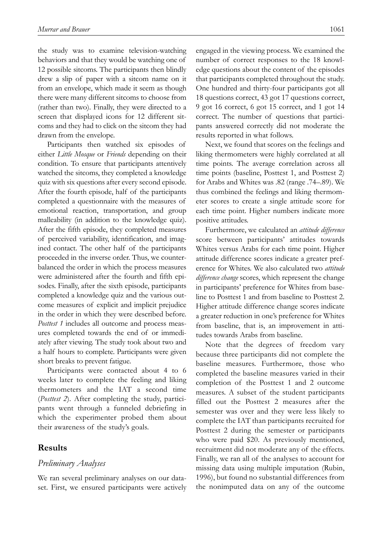the study was to examine television-watching behaviors and that they would be watching one of 12 possible sitcoms. The participants then blindly drew a slip of paper with a sitcom name on it from an envelope, which made it seem as though there were many different sitcoms to choose from (rather than two). Finally, they were directed to a screen that displayed icons for 12 different sitcoms and they had to click on the sitcom they had drawn from the envelope.

Participants then watched six episodes of either *Little Mosque* or *Friends* depending on their condition. To ensure that participants attentively watched the sitcoms, they completed a knowledge quiz with six questions after every second episode. After the fourth episode, half of the participants completed a questionnaire with the measures of emotional reaction, transportation, and group malleability (in addition to the knowledge quiz). After the fifth episode, they completed measures of perceived variability, identification, and imagined contact. The other half of the participants proceeded in the inverse order. Thus, we counterbalanced the order in which the process measures were administered after the fourth and fifth episodes. Finally, after the sixth episode, participants completed a knowledge quiz and the various outcome measures of explicit and implicit prejudice in the order in which they were described before. *Posttest 1* includes all outcome and process measures completed towards the end of or immediately after viewing. The study took about two and a half hours to complete. Participants were given short breaks to prevent fatigue.

Participants were contacted about 4 to 6 weeks later to complete the feeling and liking thermometers and the IAT a second time (*Posttest 2*). After completing the study, participants went through a funneled debriefing in which the experimenter probed them about their awareness of the study's goals.

#### **Results**

#### *Preliminary Analyses*

We ran several preliminary analyses on our dataset. First, we ensured participants were actively engaged in the viewing process. We examined the number of correct responses to the 18 knowledge questions about the content of the episodes that participants completed throughout the study. One hundred and thirty-four participants got all 18 questions correct, 43 got 17 questions correct, 9 got 16 correct, 6 got 15 correct, and 1 got 14 correct. The number of questions that participants answered correctly did not moderate the results reported in what follows.

Next, we found that scores on the feelings and liking thermometers were highly correlated at all time points. The average correlation across all time points (baseline, Posttest 1, and Posttest 2) for Arabs and Whites was .82 (range .74–.89). We thus combined the feelings and liking thermometer scores to create a single attitude score for each time point. Higher numbers indicate more positive attitudes.

Furthermore, we calculated an *attitude difference* score between participants' attitudes towards Whites versus Arabs for each time point. Higher attitude difference scores indicate a greater preference for Whites. We also calculated two *attitude difference change* scores, which represent the change in participants' preference for Whites from baseline to Posttest 1 and from baseline to Posttest 2. Higher attitude difference change scores indicate a greater reduction in one's preference for Whites from baseline, that is, an improvement in attitudes towards Arabs from baseline.

Note that the degrees of freedom vary because three participants did not complete the baseline measures. Furthermore, those who completed the baseline measures varied in their completion of the Posttest 1 and 2 outcome measures. A subset of the student participants filled out the Posttest 2 measures after the semester was over and they were less likely to complete the IAT than participants recruited for Posttest 2 during the semester or participants who were paid \$20. As previously mentioned, recruitment did not moderate any of the effects. Finally, we ran all of the analyses to account for missing data using multiple imputation (Rubin, 1996), but found no substantial differences from the nonimputed data on any of the outcome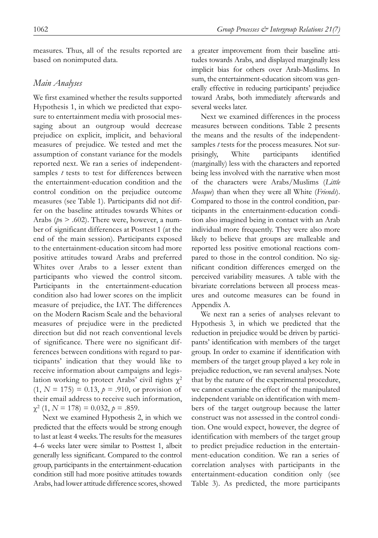measures. Thus, all of the results reported are based on nonimputed data.

#### *Main Analyses*

We first examined whether the results supported Hypothesis 1, in which we predicted that exposure to entertainment media with prosocial messaging about an outgroup would decrease prejudice on explicit, implicit, and behavioral measures of prejudice. We tested and met the assumption of constant variance for the models reported next. We ran a series of independentsamples *t* tests to test for differences between the entertainment-education condition and the control condition on the prejudice outcome measures (see Table 1). Participants did not differ on the baseline attitudes towards Whites or Arabs (*p*s > .602). There were, however, a number of significant differences at Posttest 1 (at the end of the main session). Participants exposed to the entertainment-education sitcom had more positive attitudes toward Arabs and preferred Whites over Arabs to a lesser extent than participants who viewed the control sitcom. Participants in the entertainment-education condition also had lower scores on the implicit measure of prejudice, the IAT. The differences on the Modern Racism Scale and the behavioral measures of prejudice were in the predicted direction but did not reach conventional levels of significance. There were no significant differences between conditions with regard to participants' indication that they would like to receive information about campaigns and legislation working to protect Arabs' civil rights  $\chi^2$  $(1, N = 175) = 0.13$ ,  $p = .910$ , or provision of their email address to receive such information,  $\chi^2$  (1, *N* = 178) = 0.032, *p* = .859.

Next we examined Hypothesis 2, in which we predicted that the effects would be strong enough to last at least 4 weeks. The results for the measures 4–6 weeks later were similar to Posttest 1, albeit generally less significant. Compared to the control group, participants in the entertainment-education condition still had more positive attitudes towards Arabs, had lower attitude difference scores, showed

a greater improvement from their baseline attitudes towards Arabs, and displayed marginally less implicit bias for others over Arab-Muslims. In sum, the entertainment-education sitcom was generally effective in reducing participants' prejudice toward Arabs, both immediately afterwards and several weeks later.

Next we examined differences in the process measures between conditions. Table 2 presents the means and the results of the independentsamples *t* tests for the process measures. Not surprisingly, White participants identified (marginally) less with the characters and reported being less involved with the narrative when most of the characters were Arabs/Muslims (*Little Mosque*) than when they were all White (*Friends*). Compared to those in the control condition, participants in the entertainment-education condition also imagined being in contact with an Arab individual more frequently. They were also more likely to believe that groups are malleable and reported less positive emotional reactions compared to those in the control condition. No significant condition differences emerged on the perceived variability measures. A table with the bivariate correlations between all process measures and outcome measures can be found in Appendix A.

We next ran a series of analyses relevant to Hypothesis 3, in which we predicted that the reduction in prejudice would be driven by participants' identification with members of the target group. In order to examine if identification with members of the target group played a key role in prejudice reduction, we ran several analyses. Note that by the nature of the experimental procedure, we cannot examine the effect of the manipulated independent variable on identification with members of the target outgroup because the latter construct was not assessed in the control condition. One would expect, however, the degree of identification with members of the target group to predict prejudice reduction in the entertainment-education condition. We ran a series of correlation analyses with participants in the entertainment-education condition only (see Table 3). As predicted, the more participants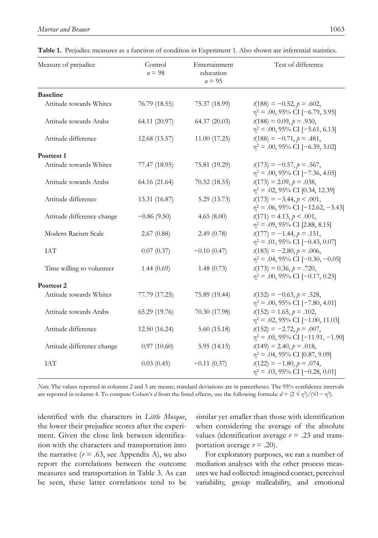| Measure of prejudice       | Control<br>$n = 98$ | Entertainment<br>education<br>$n = 95$ | Test of difference                                                       |
|----------------------------|---------------------|----------------------------------------|--------------------------------------------------------------------------|
| <b>Baseline</b>            |                     |                                        |                                                                          |
| Attitude towards Whites    | 76.79 (18.55)       | 75.37 (18.99)                          | $t(188) = -0.52, p = .602,$<br>$\eta^2 = .00, 95\%$ CI [-6.79, 3.95]     |
| Attitude towards Arabs     | 64.11 (20.97)       | 64.37(20.03)                           | $t(188) = 0.09, p = .930,$<br>$\eta^2 = .00, 95\%$ CI [-5.61, 6.13]      |
| Attitude difference        | 12.68 (15.57)       | 11.00 (17.25)                          | $t(188) = -0.71, p = .481,$<br>$\eta^2 = .00, 95\%$ CI [-6.39, 3.02]     |
| Posttest 1                 |                     |                                        |                                                                          |
| Attitude towards Whites    | 77.47 (18.95)       | 75.81 (19.29)                          | $t(173) = -0.57, p = .567,$<br>$\eta^2 = .00, 95\%$ CI [-7.36, 4.05]     |
| Attitude towards Arabs     | 64.16 (21.64)       | 70.52(18.55)                           | $t(173) = 2.09, p = .038,$<br>$\eta^2 = .02, 95\%$ CI [0.34, 12.39]      |
| Attitude difference        | 13.31 (16.87)       | 5.29(13.73)                            | $t(173) = -3.44, p < .001,$<br>$\eta^2 = .06, 95\%$ CI [-12.62, -3.43]   |
| Attitude difference change | $-0.86(9.50)$       | 4.65(8.00)                             | $t(171) = 4.13, p \le .001,$<br>$\eta^2 = .09, 95\%$ CI [2.88, 8.15]     |
| Modern Racism Scale        | 2.67(0.88)          | 2.49(0.78)                             | $t(177) = -1.44, p = .151,$<br>$\eta^2 = .01,95\%$ CI [-0.43, 0.07]      |
| <b>IAT</b>                 | 0.07(0.37)          | $-0.10(0.47)$                          | $t(183) = -2.80, p = .006,$<br>$\eta^2$ = .04, 95% CI [-0.30, -0.05]     |
| Time willing to volunteer  | 1.44(0.69)          | 1.48(0.73)                             | $t(173) = 0.36, p = .720,$<br>$\eta^2 = .00, 95\%$ CI [-0.17, 0.25]      |
| Posttest 2                 |                     |                                        |                                                                          |
| Attitude towards Whites    | 77.79 (17.25)       | 75.89 (19.44)                          | $t(152) = -0.63$ , $p = .528$ ,<br>$\eta^2 = .00, 95\%$ CI [-7.80, 4.01] |
| Attitude towards Arabs     | 65.29 (19.76)       | 70.30 (17.98)                          | $t(152) = 1.65, p = .102,$<br>$\eta^2 = .02, 95\%$ CI [-1.00, 11.03]     |
| Attitude difference        | 12.50 (16.24)       | 5.60(15.18)                            | $t(152) = -2.72, p = .007,$<br>$\eta^2 = .05, 95\%$ CI [-11.91, -1.90]   |
| Attitude difference change | 0.97(10.60)         | 5.95(14.15)                            | $t(149) = 2.40, p = .018,$<br>$\eta^2 = .04, 95\%$ CI [0.87, 9.09]       |
| <b>IAT</b>                 | 0.03(0.45)          | $-0.11(0.37)$                          | $t(122) = -1.80, p = .074,$<br>$\eta^2 = .03, 95\%$ CI [-0.28, 0.01]     |

**Table 1.** Prejudice measures as a function of condition in Experiment 1. Also shown are inferential statistics.

*Note.* The values reported in columns 2 and 3 are means; standard deviations are in parentheses. The 95% confidence intervals are reported in column 4. To compute Cohen's *d* from the listed effects, use the following formula:  $d = (2 \sqrt{\eta^2})/(\sqrt{1-\eta^2})$ .

identified with the characters in *Little Mosque*, the lower their prejudice scores after the experiment. Given the close link between identification with the characters and transportation into the narrative  $(r = .63, \text{ see Appendix A})$ , we also report the correlations between the outcome measures and transportation in Table 3. As can be seen, these latter correlations tend to be

similar yet smaller than those with identification when considering the average of the absolute values (identification average *r* = .23 and transportation average *r* = .20).

For exploratory purposes, we ran a number of mediation analyses with the other process measures we had collected: imagined contact, perceived variability, group malleability, and emotional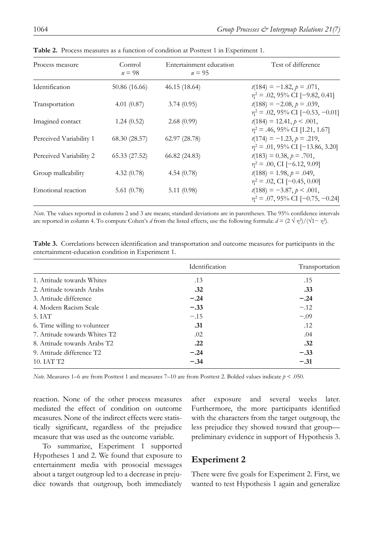|                 |         | <b>Table 2.</b> Process measures as a function of condition at Posttest 1 in Experiment 1. |  |
|-----------------|---------|--------------------------------------------------------------------------------------------|--|
| Process measure | Control | Entertainment education                                                                    |  |

| Process measure         | Control<br>$n = 98$ | Entertainment education<br>$n = 95$ | Test of difference                                                   |
|-------------------------|---------------------|-------------------------------------|----------------------------------------------------------------------|
| Identification          | 50.86 (16.66)       | 46.15(18.64)                        | $t(184) = -1.82, p = .071,$<br>$\eta^2 = .02,95\%$ CI [-9.82, 0.41]  |
| Transportation          | 4.01(0.87)          | 3.74(0.95)                          | $t(188) = -2.08, p = .039,$<br>$\eta^2 = .02,95\%$ CI [-0.53, -0.01] |
| Imagined contact        | 1.24(0.52)          | 2.68(0.99)                          | $t(184) = 12.41, p < .001,$<br>$\eta^2 = .46, 95\%$ CI [1.21, 1.67]  |
| Perceived Variability 1 | 68.30 (28.57)       | 62.97(28.78)                        | $t(174) = -1.23, p = .219,$<br>$\eta^2 = .01,95\%$ CI [-13.86, 3.20] |
| Perceived Variability 2 | 65.33 (27.52)       | 66.82 (24.83)                       | $t(183) = 0.38, p = .701,$<br>$\eta^2 = .00$ , CI [-6.12, 9.09]      |
| Group malleability      | 4.32(0.78)          | 4.54(0.78)                          | $t(188) = 1.98, p = .049,$<br>$\eta^2 = .02$ , CI [-0.45, 0.00]      |
| Emotional reaction      | 5.61(0.78)          | 5.11(0.98)                          | $t(188) = -3.87, p < .001,$<br>$\eta^2 = .07,95\%$ CI [-0.75, -0.24] |

*Note.* The values reported in columns 2 and 3 are means; standard deviations are in parentheses. The 95% confidence intervals are reported in column 4. To compute Cohen's *d* from the listed effects, use the following formula:  $d = (2 \sqrt{\eta^2})/(\sqrt{1-\eta^2})$ .

|                               | Identification | Transportation |
|-------------------------------|----------------|----------------|
| 1. Attitude towards Whites    | .13            | .15            |
| 2. Attitude towards Arabs     | .32            | .33            |
| 3. Attitude difference        | $-.24$         | $-.24$         |
| 4. Modern Racism Scale        | $-.33$         | $-.12$         |
| 5. IAT                        | $-.15$         | $-.09$         |
| 6. Time willing to volunteer  | .31            | .12            |
| 7. Attitude towards Whites T2 | .02            | .04            |
| 8. Attitude towards Arabs T2  | .22            | .32            |
| 9. Attitude difference T2     | $-.24$         | $-.33$         |
| 10. IAT T2                    | $-.34$         | $-.31$         |
|                               |                |                |

**Table 3.** Correlations between identification and transportation and outcome measures for participants in the entertainment-education condition in Experiment 1.

*Note*. Measures 1–6 are from Posttest 1 and measures 7–10 are from Posttest 2. Bolded values indicate  $p < .050$ .

reaction. None of the other process measures mediated the effect of condition on outcome measures. None of the indirect effects were statistically significant, regardless of the prejudice measure that was used as the outcome variable.

To summarize, Experiment 1 supported Hypotheses 1 and 2. We found that exposure to entertainment media with prosocial messages about a target outgroup led to a decrease in prejudice towards that outgroup, both immediately after exposure and several weeks later. Furthermore, the more participants identified with the characters from the target outgroup, the less prejudice they showed toward that group preliminary evidence in support of Hypothesis 3.

# **Experiment 2**

There were five goals for Experiment 2. First, we wanted to test Hypothesis 1 again and generalize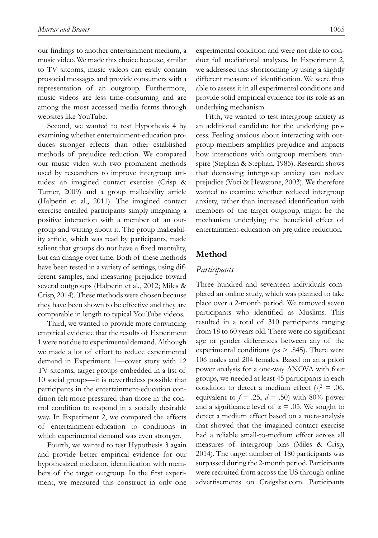our findings to another entertainment medium, a music video. We made this choice because, similar to TV sitcoms, music videos can easily contain prosocial messages and provide consumers with a representation of an outgroup. Furthermore, music videos are less time-consuming and are among the most accessed media forms through websites like YouTube.

Second, we wanted to test Hypothesis 4 by examining whether entertainment-education produces stronger effects than other established methods of prejudice reduction. We compared our music video with two prominent methods used by researchers to improve intergroup attitudes: an imagined contact exercise (Crisp & Turner, 2009) and a group malleability article (Halperin et al., 2011). The imagined contact exercise entailed participants simply imagining a positive interaction with a member of an outgroup and writing about it. The group malleability article, which was read by participants, made salient that groups do not have a fixed mentality, but can change over time. Both of these methods have been tested in a variety of settings, using different samples, and measuring prejudice toward several outgroups (Halperin et al., 2012; Miles & Crisp, 2014). These methods were chosen because they have been shown to be effective and they are comparable in length to typical YouTube videos.

Third, we wanted to provide more convincing empirical evidence that the results of Experiment 1 were not due to experimental demand. Although we made a lot of effort to reduce experimental demand in Experiment 1—cover story with 12 TV sitcoms, target groups embedded in a list of 10 social groups—it is nevertheless possible that participants in the entertainment-education condition felt more pressured than those in the control condition to respond in a socially desirable way. In Experiment 2, we compared the effects of entertainment-education to conditions in which experimental demand was even stronger.

Fourth, we wanted to test Hypothesis 3 again and provide better empirical evidence for our hypothesized mediator, identification with members of the target outgroup. In the first experiment, we measured this construct in only one experimental condition and were not able to conduct full mediational analyses. In Experiment 2, we addressed this shortcoming by using a slightly different measure of identification. We were thus able to assess it in all experimental conditions and provide solid empirical evidence for its role as an underlying mechanism.

Fifth, we wanted to test intergroup anxiety as an additional candidate for the underlying process. Feeling anxious about interacting with outgroup members amplifies prejudice and impacts how interactions with outgroup members transpire (Stephan & Stephan, 1985). Research shows that decreasing intergroup anxiety can reduce prejudice (Voci & Hewstone, 2003). We therefore wanted to examine whether reduced intergroup anxiety, rather than increased identification with members of the target outgroup, might be the mechanism underlying the beneficial effect of entertainment-education on prejudice reduction.

### **Method**

#### *Participants*

Three hundred and seventeen individuals completed an online study, which was planned to take place over a 2-month period. We removed seven participants who identified as Muslims. This resulted in a total of 310 participants ranging from 18 to 60 years old. There were no significant age or gender differences between any of the experimental conditions (*p*s > .845). There were 106 males and 204 females. Based on an a priori power analysis for a one-way ANOVA with four groups, we needed at least 45 participants in each condition to detect a medium effect ( $\eta^2 = .06$ , equivalent to  $f = .25$ ,  $d = .50$ ) with 80% power and a significance level of  $\alpha = .05$ . We sought to detect a medium effect based on a meta-analysis that showed that the imagined contact exercise had a reliable small-to-medium effect across all measures of intergroup bias (Miles & Crisp, 2014). The target number of 180 participants was surpassed during the 2-month period. Participants were recruited from across the US through online advertisements on Craigslist.com. Participants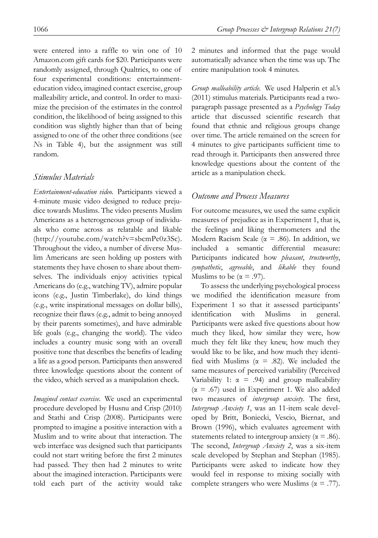were entered into a raffle to win one of 10 Amazon.com gift cards for \$20. Participants were randomly assigned, through Qualtrics, to one of four experimental conditions: entertainmenteducation video, imagined contact exercise, group malleability article, and control. In order to maximize the precision of the estimates in the control condition, the likelihood of being assigned to this condition was slightly higher than that of being assigned to one of the other three conditions (see *N*s in Table 4), but the assignment was still random.

#### *Stimulus Materials*

*Entertainment-education video.* Participants viewed a 4-minute music video designed to reduce prejudice towards Muslims. The video presents Muslim Americans as a heterogeneous group of individuals who come across as relatable and likable ([http://youtube.com/watch?v=sbcmPe0z3Sc\)](http://youtube.com/watch?v=sbcmPe0z3Sc). Throughout the video, a number of diverse Muslim Americans are seen holding up posters with statements they have chosen to share about themselves. The individuals enjoy activities typical Americans do (e.g., watching TV), admire popular icons (e.g., Justin Timberlake), do kind things (e.g., write inspirational messages on dollar bills), recognize their flaws (e.g., admit to being annoyed by their parents sometimes), and have admirable life goals (e.g., changing the world). The video includes a country music song with an overall positive tone that describes the benefits of leading a life as a good person. Participants then answered three knowledge questions about the content of the video, which served as a manipulation check.

*Imagined contact exercise.* We used an experimental procedure developed by Husnu and Crisp (2010) and Stathi and Crisp (2008). Participants were prompted to imagine a positive interaction with a Muslim and to write about that interaction. The web interface was designed such that participants could not start writing before the first 2 minutes had passed. They then had 2 minutes to write about the imagined interaction. Participants were told each part of the activity would take

2 minutes and informed that the page would automatically advance when the time was up. The entire manipulation took 4 minutes.

*Group malleability article.* We used Halperin et al.'s (2011) stimulus materials. Participants read a twoparagraph passage presented as a *Psychology Today* article that discussed scientific research that found that ethnic and religious groups change over time. The article remained on the screen for 4 minutes to give participants sufficient time to read through it. Participants then answered three knowledge questions about the content of the article as a manipulation check.

### *Outcome and Process Measures*

For outcome measures, we used the same explicit measures of prejudice as in Experiment 1, that is, the feelings and liking thermometers and the Modern Racism Scale ( $\alpha$  = .86). In addition, we included a semantic differential measure: Participants indicated how *pleasant*, *trustworthy*, *sympathetic*, *agreeable*, and *likable* they found Muslims to be ( $\alpha = .97$ ).

To assess the underlying psychological process we modified the identification measure from Experiment 1 so that it assessed participants' identification with Muslims in general. Participants were asked five questions about how much they liked, how similar they were, how much they felt like they knew, how much they would like to be like, and how much they identified with Muslims ( $\alpha$  = .82). We included the same measures of perceived variability (Perceived Variability 1:  $\alpha$  = .94) and group malleability  $(\alpha = .67)$  used in Experiment 1. We also added two measures of *intergroup anxiety*. The first, *Intergroup Anxiety 1*, was an 11-item scale developed by Britt, Boniecki, Vescio, Biernat, and Brown (1996), which evaluates agreement with statements related to intergroup anxiety ( $\alpha = .86$ ). The second, *Intergroup Anxiety 2*, was a six-item scale developed by Stephan and Stephan (1985). Participants were asked to indicate how they would feel in response to mixing socially with complete strangers who were Muslims ( $\alpha$  = .77).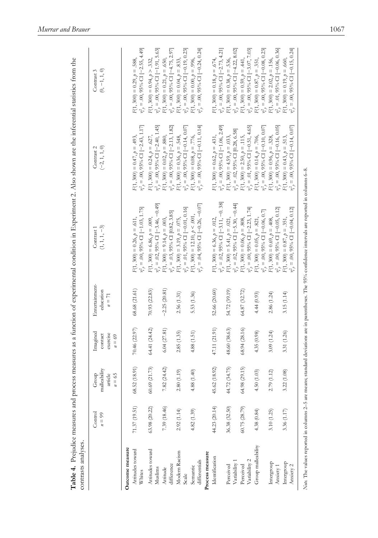|                                               | Control<br>$n=99$ | malleability<br>article<br>$n = 65$<br>Group | Imagined<br>exercise<br>contact<br>$n = 69$ | Entertainment-<br>education<br>$n=71$ | $(1, 1, 1, -3)$<br>Contrast 1                                                                                                        | $(-2, 1, 1, 0)$<br>Contrast <sub>2</sub>                                                                  | $(0, -1, 1, 0)$<br>Contrast 3                                                                |
|-----------------------------------------------|-------------------|----------------------------------------------|---------------------------------------------|---------------------------------------|--------------------------------------------------------------------------------------------------------------------------------------|-----------------------------------------------------------------------------------------------------------|----------------------------------------------------------------------------------------------|
| Outcome measure<br>Attitudes toward<br>Whites | 71.37 (19.51)     | 68.52 (18.91)                                | 70.46 (22.97)                               | 68.68 (21.61)                         | $\eta_{\,\,\tau}^2 = 0.00, 95\% \ \text{CI} \ [-1.03, 1.75]$<br>$F(1, 300) = 0.26, p = .611,$                                        | $\eta_{\rho}^2 = .00,95\%$ CI [-2.43, 1.17]<br>$F(1, 300) = 0.47, p = .493,$                              | $n_{\scriptscriptstyle T}^2 = 0.00, 95\%$ CI [-2.55, 4.49]<br>$F(1, 300) = 0.29, p = .588,$  |
| Attitudes toward<br>Muslims                   | 63.98 (20.22)     | 60.69 (21.73)                                | 64.41(24.42)                                | 70.93 (22.83)                         | $\begin{split} F(1,300) &= 6.86, p = .009, \\ \eta^2_{\,\,\rho} &= .02, \, 95\% \, \text{CI}\,\left[-3.46, -0.49\right] \end{split}$ | $\eta_{\scriptscriptstyle -\beta}^2 = 0.00, 95\%~{\rm CI}~[-2.40, 1.45]$<br>$F(1, 300) = 0.24, p = .627,$ | $\eta_{\,\,\pi}^2 = 0.00, 95\%$ CI [-1.91, 5.63]<br>$F(1, 300) = 0.94, p > .332,$            |
| difference<br>Attitude                        | 7.39 (18.46)      | 7.82(24.42)                                  | 6.04(27.81)                                 | $-2.25(20.81)$                        | $F(1, 300) = 9.14$ , $p = .003$ ,<br>$\eta^2_{\ r} = .03$ , 95% CI [0.82, 3.85]                                                      | $\eta_{\,\,\tau}^2 = .00,95\%~{\rm CI}~[-2.13,1.82]$<br>$F(1,300) = 0.02, p = .880$                       | $n_{\phi}^2 = .00,95\%$ CI [-4.75, 2.97]<br>$F(1, 300) = 0.21, p = .650$                     |
| Modern Racism<br>Scale                        | 2.92(1.14)        | 2.80 (1.19)                                  | 2.85(1.35)                                  | 2.56 (1.31)                           | $\begin{split} & F(1,300) = 3.19, p = .075, \\ & \eta^2_{\ \rho} = .01,95\% \ \mathrm{CI} \ [-0.01, 0.16] \end{split}$               | $\eta_{- \rho}^2 = .00, 95\%~{\rm CI~}[-0.14, 0.07]$<br>$F(1, 300) = 0.36, p = .548,$                     | $\eta_{\gamma}^2 = .00,95\%$ CI [-0.19, 0.23]<br>$F(1, 300) = 0.04, p = .833,$               |
| Process measure<br>differentials<br>Semantic  | 4.82(1.39)        | 4.88 (1.40)                                  | 4.88 (1.51)                                 | 5.53 (1.36)                           | $F(1, 300) = 12.10, p < .001,$<br>$\eta^2_{\ p} = .04, 95\%$ CI $[-0.26, -0.07]$                                                     | $\eta_{\gamma_p}^2$ = .00, 95% CI [-0.11, 0.14]<br>$F(1, 300) = 0.08, p = .776,$                          | $n_{f}^{2} = 0.00, 95\%$ CI [-0.24, 0.24]<br>$F(1, 300) = 0.00, p = .996,$                   |
| Identification                                | 44.23 (20.14)     | 45.62 (18.92)                                | 47.11 (21.91)                               | 52.66 (20.60)                         | $\eta_{\,\,\rho}^2 = .02,95\%$ CI [-3.11, -0.38]<br>$F(1, 300) = 6.36, p = .012$                                                     | $\eta_{\rho}^2 = .00,95\%$ CI [-1.06, 2.49]<br>$F(1, 300) = 0.62$ , $p = .431$ ,                          | $\eta_{\rho}^2 = .00,95\%$ CI [-2.73, 4.21]<br>$F(1, 300) = 0.18, p = .674,$                 |
| Variability<br>Perceived                      | 36.38 (32.50)     | 44.72 (34.75)                                | 48.60 (38.63)                               | 54.72 (39.19)                         | $\eta_{\rho}^2 = .02,95\%$ CI [-5.30, -0.44]<br>$F(1, 300) = 5.41, p = .021,$                                                        | $\eta_{\ p}^2 = .02, 95\%$ CI [0.28, 6.58]<br>$F(1, 300) = 4.59, p = .033$                                | $n_{\gamma}^2 = .00,95\%$ CI [-4.22, 8.02]<br>$F(1, 300) = 0.38, p = .536,$                  |
| Variability 2<br>Perceived                    | 60.75 (28.79)     | 64.98 (29.15)                                | 68.94 (28.16)                               | 64.87 (32.72)                         | $\eta_{\ p}^2 = .00,95\%$ CI [-2.23, 1.74]<br>$F(1, 300) = 0.06, p = .808$                                                           | $\eta_{\,\,\rho}^2 = .01,95\%$ CI [-0.51, 4.65]<br>$F(1, 300) = 2.50, p = .115,$                          | $\eta_{\,\,\rho}^2 = .00,\,95\%$ CI [-3.07, 7.03]<br>$F(1, 300) = 0.59, p = .441,$           |
| Group malleability                            | 4.38 (0.84)       | 4.50 (1.03)                                  | 4.35 (0.98)                                 | 4.44 (0.93)                           | $\eta_{\ p}^2 = .00,95\%$ CI $[-0.06,0.7]$<br>$F(1, 300) = 0.05, p = .821$                                                           | $\eta_{\,\,\tau}^2 = .00,95\%~{\rm CI~}[-0.10,0.07]$<br>$F(1, 300) = 0.14, p = .706,$                     | $\eta_{\,\,\tau}^2 = .00,\,95\%~{\rm CI}~[-0.08,\,0.23]$<br>$F(1, 300) = 0.87, p = .351$     |
| Intergroup<br>Anxiety 1                       | 3.10(1.25)        | 2.79 (1.12)                                  | 3.09(1.24)                                  | 2.86(1.24)                            | $\eta_{\,\,\rho}^2 = .00,\,95\%~{\rm CI~}[-0.05,0.12]$<br>$F(1, 300) = 0.69, p = .408$                                               | $\eta_{-b}^2 = .00,95\%$ CI [-0.16, 0.05]<br>$F(1, 300) = 0.96, p = .328$                                 | $\eta_{\gamma}^2 = .01,95\%$ CI [-0.06, 0.36]<br>$F(1, 300) = 2.02, p = .156,$               |
| Intergroup<br>Anxiety 2                       | 3.36(1.17)        | 3.22(1.08)                                   | 3.31 (1.26)                                 | 3.15(1.14)                            | $\eta_{\ \rho}^2 = .00,95\%$ CI [-0.04, 0.12]<br>$F(1, 300) = 0.87, p = .351$                                                        | $\eta_{\,\,\tau}^2 = 0.00, \, 95\%~{\rm CI~[-0.14, 0.07]}$<br>$F(1, 300) = 0.43, p = .513,$               | $\eta_{\,\,\tau}^2 = .00,\, 95\%~{\rm CI~I} - 0.15,\, 0.24$<br>$F(1, 300) = 0.19, p = .660,$ |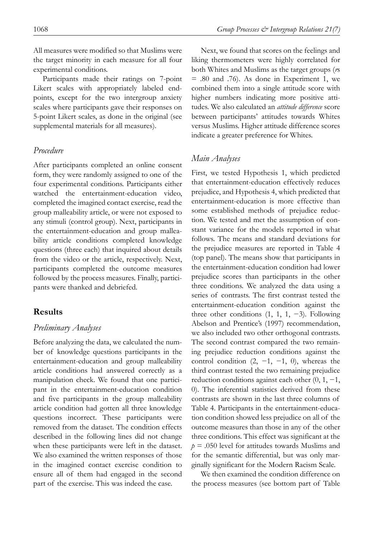All measures were modified so that Muslims were the target minority in each measure for all four experimental conditions.

Participants made their ratings on 7-point Likert scales with appropriately labeled endpoints, except for the two intergroup anxiety scales where participants gave their responses on 5-point Likert scales, as done in the original (see supplemental materials for all measures).

#### *Procedure*

After participants completed an online consent form, they were randomly assigned to one of the four experimental conditions. Participants either watched the entertainment-education video, completed the imagined contact exercise, read the group malleability article, or were not exposed to any stimuli (control group). Next, participants in the entertainment-education and group malleability article conditions completed knowledge questions (three each) that inquired about details from the video or the article, respectively. Next, participants completed the outcome measures followed by the process measures. Finally, participants were thanked and debriefed.

#### **Results**

#### *Preliminary Analyses*

Before analyzing the data, we calculated the number of knowledge questions participants in the entertainment-education and group malleability article conditions had answered correctly as a manipulation check. We found that one participant in the entertainment-education condition and five participants in the group malleability article condition had gotten all three knowledge questions incorrect. These participants were removed from the dataset. The condition effects described in the following lines did not change when these participants were left in the dataset. We also examined the written responses of those in the imagined contact exercise condition to ensure all of them had engaged in the second part of the exercise. This was indeed the case.

Next, we found that scores on the feelings and liking thermometers were highly correlated for both Whites and Muslims as the target groups (*r*s = .80 and .76). As done in Experiment 1, we combined them into a single attitude score with higher numbers indicating more positive attitudes. We also calculated an *attitude difference* score between participants' attitudes towards Whites versus Muslims. Higher attitude difference scores indicate a greater preference for Whites.

#### *Main Analyses*

First, we tested Hypothesis 1, which predicted that entertainment-education effectively reduces prejudice, and Hypothesis 4, which predicted that entertainment-education is more effective than some established methods of prejudice reduction. We tested and met the assumption of constant variance for the models reported in what follows. The means and standard deviations for the prejudice measures are reported in Table 4 (top panel). The means show that participants in the entertainment-education condition had lower prejudice scores than participants in the other three conditions. We analyzed the data using a series of contrasts. The first contrast tested the entertainment-education condition against the three other conditions  $(1, 1, 1, -3)$ . Following Abelson and Prentice's (1997) recommendation, we also included two other orthogonal contrasts. The second contrast compared the two remaining prejudice reduction conditions against the control condition  $(2, -1, -1, 0)$ , whereas the third contrast tested the two remaining prejudice reduction conditions against each other  $(0, 1, -1,$ 0). The inferential statistics derived from these contrasts are shown in the last three columns of Table 4. Participants in the entertainment-education condition showed less prejudice on all of the outcome measures than those in any of the other three conditions. This effect was significant at the  $p = .050$  level for attitudes towards Muslims and for the semantic differential, but was only marginally significant for the Modern Racism Scale.

We then examined the condition difference on the process measures (see bottom part of Table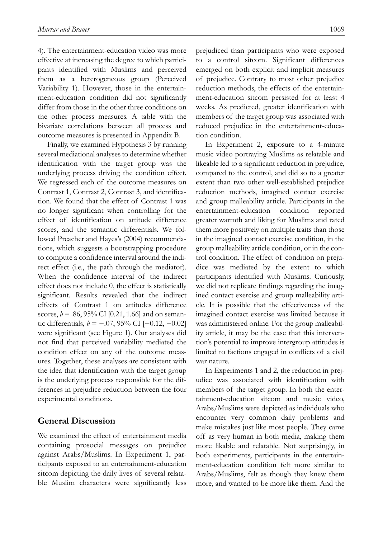4). The entertainment-education video was more effective at increasing the degree to which participants identified with Muslims and perceived them as a heterogeneous group (Perceived Variability 1). However, those in the entertainment-education condition did not significantly differ from those in the other three conditions on the other process measures. A table with the bivariate correlations between all process and outcome measures is presented in Appendix B.

Finally, we examined Hypothesis 3 by running several mediational analyses to determine whether identification with the target group was the underlying process driving the condition effect. We regressed each of the outcome measures on Contrast 1, Contrast 2, Contrast 3, and identification. We found that the effect of Contrast 1 was no longer significant when controlling for the effect of identification on attitude difference scores, and the semantic differentials. We followed Preacher and Hayes's (2004) recommendations, which suggests a bootstrapping procedure to compute a confidence interval around the indirect effect (i.e., the path through the mediator). When the confidence interval of the indirect effect does not include 0, the effect is statistically significant. Results revealed that the indirect effects of Contrast 1 on attitudes difference scores,  $b = .86, 95\%$  CI [0.21, 1.66] and on semantic differentials,  $b = -.07,95%$  CI [−0.12, −0.02] were significant (see Figure 1). Our analyses did not find that perceived variability mediated the condition effect on any of the outcome measures. Together, these analyses are consistent with the idea that identification with the target group is the underlying process responsible for the differences in prejudice reduction between the four experimental conditions.

### **General Discussion**

We examined the effect of entertainment media containing prosocial messages on prejudice against Arabs/Muslims. In Experiment 1, participants exposed to an entertainment-education sitcom depicting the daily lives of several relatable Muslim characters were significantly less

prejudiced than participants who were exposed to a control sitcom. Significant differences emerged on both explicit and implicit measures of prejudice. Contrary to most other prejudice reduction methods, the effects of the entertainment-education sitcom persisted for at least 4 weeks. As predicted, greater identification with members of the target group was associated with reduced prejudice in the entertainment-education condition.

In Experiment 2, exposure to a 4-minute music video portraying Muslims as relatable and likeable led to a significant reduction in prejudice, compared to the control, and did so to a greater extent than two other well-established prejudice reduction methods, imagined contact exercise and group malleability article. Participants in the entertainment-education condition reported greater warmth and liking for Muslims and rated them more positively on multiple traits than those in the imagined contact exercise condition, in the group malleability article condition, or in the control condition. The effect of condition on prejudice was mediated by the extent to which participants identified with Muslims. Curiously, we did not replicate findings regarding the imagined contact exercise and group malleability article. It is possible that the effectiveness of the imagined contact exercise was limited because it was administered online. For the group malleability article, it may be the case that this intervention's potential to improve intergroup attitudes is limited to factions engaged in conflicts of a civil war nature.

In Experiments 1 and 2, the reduction in prejudice was associated with identification with members of the target group. In both the entertainment-education sitcom and music video, Arabs/Muslims were depicted as individuals who encounter very common daily problems and make mistakes just like most people. They came off as very human in both media, making them more likable and relatable. Not surprisingly, in both experiments, participants in the entertainment-education condition felt more similar to Arabs/Muslims, felt as though they knew them more, and wanted to be more like them. And the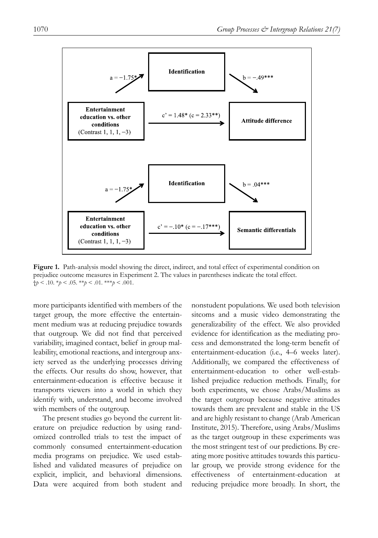

Figure 1. Path-analysis model showing the direct, indirect, and total effect of experimental condition on prejudice outcome measures in Experiment 2. The values in parentheses indicate the total effect. †*p* < .10. \**p* < .05. \*\**p* < .01. \*\*\**p* < .001.

more participants identified with members of the target group, the more effective the entertainment medium was at reducing prejudice towards that outgroup. We did not find that perceived variability, imagined contact, belief in group malleability, emotional reactions, and intergroup anxiety served as the underlying processes driving the effects. Our results do show, however, that entertainment-education is effective because it transports viewers into a world in which they identify with, understand, and become involved with members of the outgroup.

The present studies go beyond the current literature on prejudice reduction by using randomized controlled trials to test the impact of commonly consumed entertainment-education media programs on prejudice. We used established and validated measures of prejudice on explicit, implicit, and behavioral dimensions. Data were acquired from both student and nonstudent populations. We used both television sitcoms and a music video demonstrating the generalizability of the effect. We also provided evidence for identification as the mediating process and demonstrated the long-term benefit of entertainment-education (i.e., 4–6 weeks later). Additionally, we compared the effectiveness of entertainment-education to other well-established prejudice reduction methods. Finally, for both experiments, we chose Arabs/Muslims as the target outgroup because negative attitudes towards them are prevalent and stable in the US and are highly resistant to change (Arab American Institute, 2015). Therefore, using Arabs/Muslims as the target outgroup in these experiments was the most stringent test of our predictions. By creating more positive attitudes towards this particular group, we provide strong evidence for the effectiveness of entertainment-education reducing prejudice more broadly. In short, the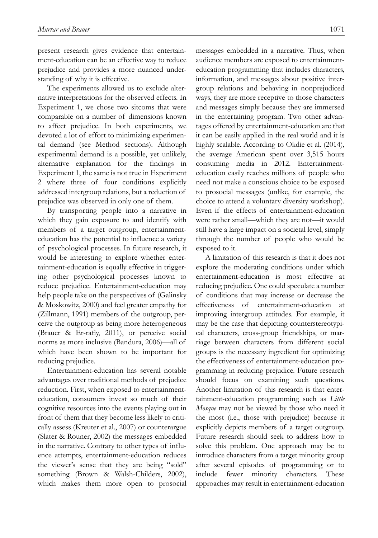present research gives evidence that entertainment-education can be an effective way to reduce prejudice and provides a more nuanced understanding of why it is effective.

The experiments allowed us to exclude alternative interpretations for the observed effects. In Experiment 1, we chose two sitcoms that were comparable on a number of dimensions known to affect prejudice. In both experiments, we devoted a lot of effort to minimizing experimental demand (see Method sections). Although experimental demand is a possible, yet unlikely, alternative explanation for the findings in Experiment 1, the same is not true in Experiment 2 where three of four conditions explicitly addressed intergroup relations, but a reduction of prejudice was observed in only one of them.

By transporting people into a narrative in which they gain exposure to and identify with members of a target outgroup, entertainmenteducation has the potential to influence a variety of psychological processes. In future research, it would be interesting to explore whether entertainment-education is equally effective in triggering other psychological processes known to reduce prejudice. Entertainment-education may help people take on the perspectives of (Galinsky & Moskowitz, 2000) and feel greater empathy for (Zillmann, 1991) members of the outgroup, perceive the outgroup as being more heterogeneous (Brauer & Er-rafiy, 2011), or perceive social norms as more inclusive (Bandura, 2006)—all of which have been shown to be important for reducing prejudice.

Entertainment-education has several notable advantages over traditional methods of prejudice reduction. First, when exposed to entertainmenteducation, consumers invest so much of their cognitive resources into the events playing out in front of them that they become less likely to critically assess (Kreuter et al., 2007) or counterargue (Slater & Rouner, 2002) the messages embedded in the narrative. Contrary to other types of influence attempts, entertainment-education reduces the viewer's sense that they are being "sold" something (Brown & Walsh-Childers, 2002), which makes them more open to prosocial

messages embedded in a narrative. Thus, when audience members are exposed to entertainmenteducation programming that includes characters, information, and messages about positive intergroup relations and behaving in nonprejudiced ways, they are more receptive to those characters and messages simply because they are immersed in the entertaining program. Two other advantages offered by entertainment-education are that it can be easily applied in the real world and it is highly scalable. According to Okdie et al. (2014), the average American spent over 3,515 hours consuming media in 2012. Entertainmenteducation easily reaches millions of people who need not make a conscious choice to be exposed to prosocial messages (unlike, for example, the choice to attend a voluntary diversity workshop). Even if the effects of entertainment-education were rather small—which they are not—it would still have a large impact on a societal level, simply through the number of people who would be exposed to it.

A limitation of this research is that it does not explore the moderating conditions under which entertainment-education is most effective at reducing prejudice. One could speculate a number of conditions that may increase or decrease the effectiveness of entertainment-education improving intergroup attitudes. For example, it may be the case that depicting counterstereotypical characters, cross-group friendships, or marriage between characters from different social groups is the necessary ingredient for optimizing the effectiveness of entertainment-education programming in reducing prejudice. Future research should focus on examining such questions. Another limitation of this research is that entertainment-education programming such as *Little Mosque* may not be viewed by those who need it the most (i.e., those with prejudice) because it explicitly depicts members of a target outgroup. Future research should seek to address how to solve this problem. One approach may be to introduce characters from a target minority group after several episodes of programming or to include fewer minority characters. These approaches may result in entertainment-education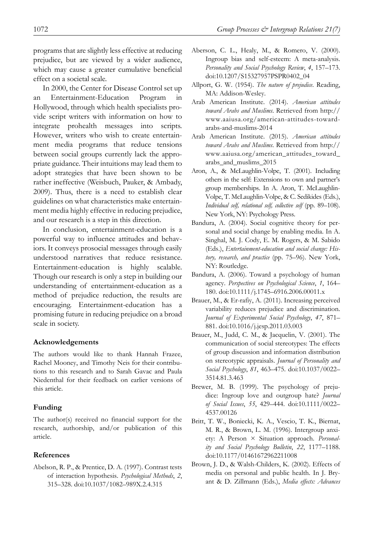programs that are slightly less effective at reducing prejudice, but are viewed by a wider audience, which may cause a greater cumulative beneficial effect on a societal scale.

In 2000, the Center for Disease Control set up an Entertainment-Education Program in Hollywood, through which health specialists provide script writers with information on how to integrate prohealth messages into scripts. However, writers who wish to create entertainment media programs that reduce tensions between social groups currently lack the appropriate guidance. Their intuitions may lead them to adopt strategies that have been shown to be rather ineffective (Weisbuch, Pauker, & Ambady, 2009). Thus, there is a need to establish clear guidelines on what characteristics make entertainment media highly effective in reducing prejudice, and our research is a step in this direction.

In conclusion, entertainment-education is a powerful way to influence attitudes and behaviors. It conveys prosocial messages through easily understood narratives that reduce resistance. Entertainment-education is highly scalable. Though our research is only a step in building our understanding of entertainment-education as a method of prejudice reduction, the results are encouraging. Entertainment-education has a promising future in reducing prejudice on a broad scale in society.

#### **Acknowledgements**

The authors would like to thank Hannah Frazee, Rachel Mooney, and Timothy Neis for their contributions to this research and to Sarah Gavac and Paula Niedenthal for their feedback on earlier versions of this article.

#### **Funding**

The author(s) received no financial support for the research, authorship, and/or publication of this article.

#### **References**

Abelson, R. P., & Prentice, D. A. (1997). Contrast tests of interaction hypothesis. *Psychological Methods*, *2*, 315–328. doi:10.1037/1082–989X.2.4.315

- Aberson, C. L., Healy, M., & Romero, V. (2000). Ingroup bias and self-esteem: A meta-analysis. *Personality and Social Psychology Review*, *4*, 157–173. doi:10.1207/S15327957PSPR0402\_04
- Allport, G. W. (1954). *The nature of prejudice*. Reading, MA: Addison-Wesley.
- Arab American Institute. (2014). *American attitudes toward Arabs and Muslims*. Retrieved from [http://](http://www.aaiusa.org/american-attitudes-toward-arabs-and-muslims-2014) [www.aaiusa.org/american-attitudes-toward](http://www.aaiusa.org/american-attitudes-toward-arabs-and-muslims-2014)[arabs-and-muslims-2014](http://www.aaiusa.org/american-attitudes-toward-arabs-and-muslims-2014)
- Arab American Institute. (2015). *American attitudes toward Arabs and Muslims*. Retrieved from [http://](http://www.aaiusa.org/american_attitudes_toward_arabs_and_muslims_2015) [www.aaiusa.org/american\\_attitudes\\_toward\\_](http://www.aaiusa.org/american_attitudes_toward_arabs_and_muslims_2015) [arabs\\_and\\_muslims\\_2015](http://www.aaiusa.org/american_attitudes_toward_arabs_and_muslims_2015)
- Aron, A., & McLaughlin-Volpe, T. (2001). Including others in the self: Extensions to own and partner's group memberships. In A. Aron, T. McLaughlin-Volpe, T. McLaughlin-Volpe, & C. Sedikides (Eds.), *Individual self, relational self, collective self* (pp. 89–108). New York, NY: Psychology Press.
- Bandura, A. (2004). Social cognitive theory for personal and social change by enabling media. In A. Singhal, M. J. Cody, E. M. Rogers, & M. Sabido (Eds.), *Entertainment-education and social change: History, research, and practice* (pp. 75–96). New York, NY: Routledge.
- Bandura, A. (2006). Toward a psychology of human agency. *Perspectives on Psychological Science*, *1*, 164– 180. doi:10.1111/j.1745–6916.2006.00011.x
- Brauer, M., & Er-rafiy, A. (2011). Increasing perceived variability reduces prejudice and discrimination. *Journal of Experimental Social Psychology*, *47*, 871– 881. doi:10.1016/j.jesp.2011.03.003
- Brauer, M., Judd, C. M., & Jacquelin, V. (2001). The communication of social stereotypes: The effects of group discussion and information distribution on stereotypic appraisals. *Journal of Personality and Social Psychology*, *81*, 463–475. doi:10.1037/0022– 3514.81.3.463
- Brewer, M. B. (1999). The psychology of prejudice: Ingroup love and outgroup hate? *Journal of Social Issues*, *55*, 429–444. doi:10.1111/0022– 4537.00126
- Britt, T. W., Boniecki, K. A., Vescio, T. K., Biernat, M. R., & Brown, L. M. (1996). Intergroup anxiety: A Person × Situation approach. *Personality and Social Psychology Bulletin*, *22*, 1177–1188. doi:10.1177/01461672962211008
- Brown, J. D., & Walsh-Childers, K. (2002). Effects of media on personal and public health. In J. Bryant & D. Zillmann (Eds.), *Media effects: Advances*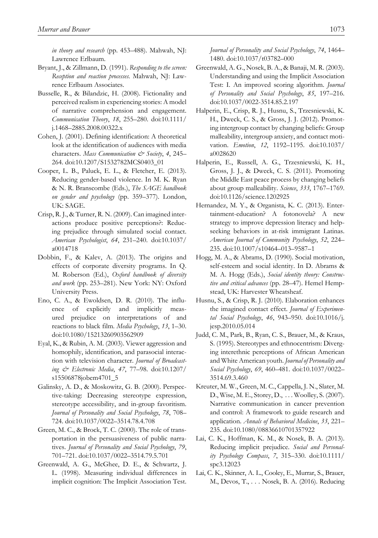*in theory and research* (pp. 453–488). Mahwah, NJ: Lawrence Erlbaum.

- Bryant, J., & Zillmann, D. (1991). *Responding to the screen: Reception and reaction processes*. Mahwah, NJ: Lawrence Erlbaum Associates.
- Busselle, R., & Bilandzic, H. (2008). Fictionality and perceived realism in experiencing stories: A model of narrative comprehension and engagement. *Communication Theory*, *18*, 255–280. doi:10.1111/ j.1468–2885.2008.00322.x
- Cohen, J. (2001). Defining identification: A theoretical look at the identification of audiences with media characters. *Mass Communication & Society*, *4*, 245– 264. doi:10.1207/S1532782MCS0403\_01
- Cooper, L. B., Paluck, E. L., & Fletcher, E. (2013). Reducing gender-based violence. In M. K. Ryan & N. R. Branscombe (Eds.), *The SAGE handbook on gender and psychology* (pp. 359–377). London, UK: SAGE.
- Crisp, R. J., & Turner, R. N. (2009). Can imagined interactions produce positive perceptions?: Reducing prejudice through simulated social contact. *American Psychologist*, *64*, 231–240. doi:10.1037/ a0014718
- Dobbin, F., & Kalev, A. (2013). The origins and effects of corporate diversity programs. In Q. M. Roberson (Ed.), *Oxford handbook of diversity and work* (pp. 253–281). New York: NY: Oxford University Press.
- Eno, C. A., & Ewoldsen, D. R. (2010). The influence of explicitly and implicitly measured prejudice on interpretations of and reactions to black film. *Media Psychology*, *13*, 1–30. doi:10.1080/15213260903562909
- Eyal, K., & Rubin, A. M. (2003). Viewer aggression and homophily, identification, and parasocial interaction with television character. *Journal of Broadcasting & Electronic Media*, *47*, 77–98. doi:10.1207/ s15506878jobem4701\_5
- Galinsky, A. D., & Moskowitz, G. B. (2000). Perspective-taking: Decreasing stereotype expression, stereotype accessibility, and in-group favoritism. *Journal of Personality and Social Psychology*, *78*, 708– 724. doi:10.1037/0022–3514.78.4.708
- Green, M. C., & Brock, T. C. (2000). The role of transportation in the persuasiveness of public narratives. *Journal of Personality and Social Psychology*, *79*, 701–721. doi:10.1037/0022–3514.79.5.701
- Greenwald, A. G., McGhee, D. E., & Schwartz, J. L. (1998). Measuring individual differences in implicit cognition: The Implicit Association Test.

*Journal of Personality and Social Psychology*, *74*, 1464– 1480. doi:10.1037/t03782–000

- Greenwald, A. G., Nosek, B. A., & Banaji, M. R. (2003). Understanding and using the Implicit Association Test: I. An improved scoring algorithm. *Journal of Personality and Social Psychology*, *85*, 197–216. doi:10.1037/0022-3514.85.2.197
- Halperin, E., Crisp, R. J., Husnu, S., Trzesniewski, K. H., Dweck, C. S., & Gross, J. J. (2012). Promoting intergroup contact by changing beliefs: Group malleability, intergroup anxiety, and contact motivation. *Emotion*, *12*, 1192–1195. doi:10.1037/ a0028620
- Halperin, E., Russell, A. G., Trzesniewski, K. H., Gross, J. J., & Dweck, C. S. (2011). Promoting the Middle East peace process by changing beliefs about group malleability. *Science*, *333*, 1767–1769. doi:10.1126/science.1202925
- Hernandez, M. Y., & Organista, K. C. (2013). Entertainment-education? A fotonovela? A new strategy to improve depression literacy and helpseeking behaviors in at-risk immigrant Latinas. *American Journal of Community Psychology*, *52*, 224– 235. doi:10.1007/s10464–013–9587–1
- Hogg, M. A., & Abrams, D. (1990). Social motivation, self-esteem and social identity. In D. Abrams & M. A. Hogg (Eds.), *Social identity theory: Constructive and critical advances* (pp. 28–47). Hemel Hempstead, UK: Harvester Wheatsheaf.
- Husnu, S., & Crisp, R. J. (2010). Elaboration enhances the imagined contact effect. *Journal of Experimental Social Psychology*, *46*, 943–950. doi:10.1016/j. jesp.2010.05.014
- Judd, C. M., Park, B., Ryan, C. S., Brauer, M., & Kraus, S. (1995). Stereotypes and ethnocentrism: Diverging interethnic perceptions of African American and White American youth. *Journal of Personality and Social Psychology*, *69*, 460–481. doi:10.1037/0022– 3514.69.3.460
- Kreuter, M. W., Green, M. C., Cappella, J. N., Slater, M. D., Wise, M. E., Storey, D., . . . Woolley, S. (2007). Narrative communication in cancer prevention and control: A framework to guide research and application. *Annals of Behavioral Medicine*, *33*, 221– 235. doi:10.1080/08836610701357922
- Lai, C. K., Hoffman, K. M., & Nosek, B. A. (2013). Reducing implicit prejudice. *Social and Personality Psychology Compass*, *7*, 315–330. doi:10.1111/ spc3.12023
- Lai, C. K., Skinner, A. L., Cooley, E., Murrar, S., Brauer, M., Devos, T., . . . Nosek, B. A. (2016). Reducing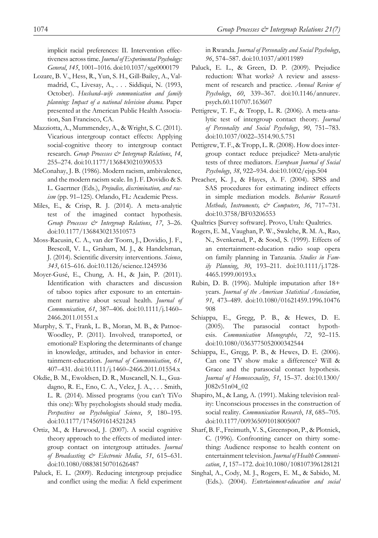implicit racial preferences: II. Intervention effectiveness across time. *Journal of Experimental Psychology: General*, *145*, 1001–1016. doi:10.1037/xge0000179

- Lozare, B. V., Hess, R., Yun, S. H., Gill-Bailey, A., Valmadrid, C., Livesay, A., . . . Siddiqui, N. (1993, October). *Husband–wife communication and family planning: Impact of a national television drama*. Paper presented at the American Public Health Association, San Francisco, CA.
- Mazziotta, A., Mummendey, A., & Wright, S. C. (2011). Vicarious intergroup contact effects: Applying social-cognitive theory to intergroup contact research. *Group Processes & Intergroup Relations*, *14*, 255–274. doi:10.1177/1368430210390533
- McConahay, J. B. (1986). Modern racism, ambivalence, and the modern racism scale. In J. F. Dovidio & S. L. Gaertner (Eds.), *Prejudice, discrimination, and racism* (pp. 91–125). Orlando, FL: Academic Press.
- Miles, E., & Crisp, R. J. (2014). A meta-analytic test of the imagined contact hypothesis. *Group Processes & Intergroup Relations*, *17*, 3–26. doi:10.1177/1368430213510573
- Moss-Racusin, C. A., van der Toorn, J., Dovidio, J. F., Brescoll, V. L., Graham, M. J., & Handelsman, J. (2014). Scientific diversity interventions. *Science*, *343*, 615–616. doi:10.1126/science.1245936
- Moyer-Gusé, E., Chung, A. H., & Jain, P. (2011). Identification with characters and discussion of taboo topics after exposure to an entertainment narrative about sexual health. *Journal of Communication*, *61*, 387–406. doi:10.1111/j.1460– 2466.2011.01551.x
- Murphy, S. T., Frank, L. B., Moran, M. B., & Patnoe-Woodley, P. (2011). Involved, transported, or emotional? Exploring the determinants of change in knowledge, attitudes, and behavior in entertainment-education. *Journal of Communication*, *61*, 407–431. doi:10.1111/j.1460–2466.2011.01554.x
- Okdie, B. M., Ewoldsen, D. R., Muscanell, N. L., Guadagno, R. E., Eno, C. A., Velez, J. A., . . . Smith, L. R. (2014). Missed programs (you can't TiVo this one): Why psychologists should study media. *Perspectives on Psychological Science*, *9*, 180–195. doi:10.1177/1745691614521243
- Ortiz, M., & Harwood, J. (2007). A social cognitive theory approach to the effects of mediated intergroup contact on intergroup attitudes. *Journal of Broadcasting & Electronic Media*, *51*, 615–631. doi:10.1080/08838150701626487
- Paluck, E. L. (2009). Reducing intergroup prejudice and conflict using the media: A field experiment

in Rwanda. *Journal of Personality and Social Psychology*, *96*, 574–587. doi:10.1037/a0011989

- Paluck, E. L., & Green, D. P. (2009). Prejudice reduction: What works? A review and assessment of research and practice. *Annual Review of Psychology*, *60*, 339–367. doi:10.1146/annurev. psych.60.110707.163607
- Pettigrew, T. F., & Tropp, L. R. (2006). A meta-analytic test of intergroup contact theory. *Journal of Personality and Social Psychology*, *90*, 751–783. doi:10.1037/0022–3514.90.5.751
- Pettigrew, T. F., & Tropp, L. R. (2008). How does intergroup contact reduce prejudice? Meta-analytic tests of three mediators. *European Journal of Social Psychology*, *38*, 922–934. doi:10.1002/ejsp.504
- Preacher, K. J., & Hayes, A. F. (2004). SPSS and SAS procedures for estimating indirect effects in simple mediation models. *Behavior Research Methods, Instruments, & Computers*, *36*, 717–731. doi:10.3758/BF03206553
- Qualtrics [Survey software]. Provo, Utah: Qualtrics.
- Rogers, E. M., Vaughan, P. W., Swalehe, R. M. A., Rao, N., Svenkerud, P., & Sood, S. (1999). Effects of an entertainment-education radio soap opera on family planning in Tanzania. *Studies in Family Planning*, *30*, 193–211. doi:10.1111/j.1728- 4465.1999.00193.x
- Rubin, D. B. (1996). Multiple imputation after 18+ years. *Journal of the American Statistical Association*, *91*, 473–489. doi:10.1080/01621459.1996.10476 908
- Schiappa, E., Gregg, P. B., & Hewes, D. E. (2005). The parasocial contact hypothesis. *Communication Monographs*, *72*, 92–115. doi:10.1080/0363775052000342544
- Schiappa, E., Gregg, P. B., & Hewes, D. E. (2006). Can one TV show make a difference? Will & Grace and the parasocial contact hypothesis. *Journal of Homosexuality*, *51*, 15–37. doi:10.1300/ J082v51n04\_02
- Shapiro, M., & Lang, A. (1991). Making television reality: Unconscious processes in the construction of social reality. *Communication Research*, *18*, 685–705. doi:10.1177/009365091018005007
- Sharf, B. F., Freimuth, V. S., Greenspon, P., & Plotnick, C. (1996). Confronting cancer on thirty something: Audience response to health content on entertainment television. *Journal of Health Communication*, *1*, 157–172. doi:10.1080/108107396128121
- Singhal, A., Cody, M. J., Rogers, E. M., & Sabido, M. (Eds.). (2004). *Entertainment-education and social*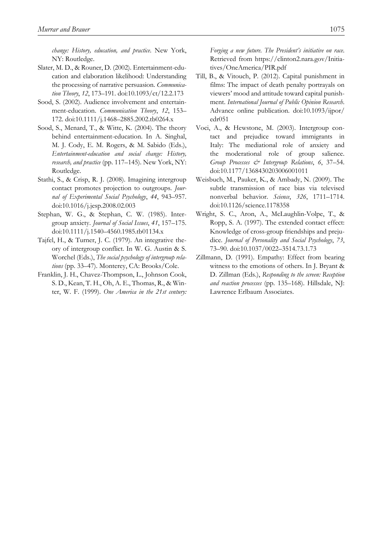*change: History, education, and practice*. New York, NY: Routledge.

- Slater, M. D., & Rouner, D. (2002). Entertainment-education and elaboration likelihood: Understanding the processing of narrative persuasion. *Communication Theory*, *12*, 173–191. doi:10.1093/ct/12.2.173
- Sood, S. (2002). Audience involvement and entertainment-education. *Communication Theory*, *12*, 153– 172. doi:10.1111/j.1468–2885.2002.tb0264.x
- Sood, S., Menard, T., & Witte, K. (2004). The theory behind entertainment-education. In A. Singhal, M. J. Cody, E. M. Rogers, & M. Sabido (Eds.), *Entertainment-education and social change: History, research, and practice* (pp. 117–145). New York, NY: Routledge.
- Stathi, S., & Crisp, R. J. (2008). Imagining intergroup contact promotes projection to outgroups. *Journal of Experimental Social Psychology*, *44*, 943–957. doi:10.1016/j.jesp.2008.02.003
- Stephan, W. G., & Stephan, C. W. (1985). Intergroup anxiety. *Journal of Social Issues*, *41*, 157–175. doi:10.1111/j.1540–4560.1985.tb01134.x
- Tajfel, H., & Turner, J. C. (1979). An integrative theory of intergroup conflict. In W. G. Austin & S. Worchel (Eds.), *The social psychology of intergroup relations* (pp. 33–47). Monterey, CA: Brooks/Cole.
- Franklin, J. H., Chavez-Thompson, L., Johnson Cook, S. D., Kean, T. H., Oh, A. E., Thomas, R., & Winter, W. F. (1999). *One America in the 21st century:*

*Forging a new future. The President's initiative on race*. Retrieved from [https://clinton2.nara.gov/Initia](https://clinton2.nara.gov/Initiatives/OneAmerica/PIR.pdf)[tives/OneAmerica/PIR.pdf](https://clinton2.nara.gov/Initiatives/OneAmerica/PIR.pdf)

- Till, B., & Vitouch, P. (2012). Capital punishment in films: The impact of death penalty portrayals on viewers' mood and attitude toward capital punishment. *International Journal of Public Opinion Research*. Advance online publication. doi:10.1093/ijpor/ edr051
- Voci, A., & Hewstone, M. (2003). Intergroup contact and prejudice toward immigrants in Italy: The mediational role of anxiety and the moderational role of group salience. *Group Processes & Intergroup Relations*, *6*, 37–54. doi:10.1177/1368430203006001011
- Weisbuch, M., Pauker, K., & Ambady, N. (2009). The subtle transmission of race bias via televised nonverbal behavior. *Science*, *326*, 1711–1714. doi:10.1126/science.1178358
- Wright, S. C., Aron, A., McLaughlin-Volpe, T., & Ropp, S. A. (1997). The extended contact effect: Knowledge of cross-group friendships and prejudice. *Journal of Personality and Social Psychology*, *73*, 73–90. doi:10.1037/0022–3514.73.1.73
- Zillmann, D. (1991). Empathy: Effect from bearing witness to the emotions of others. In J. Bryant & D. Zillman (Eds.), *Responding to the screen: Reception and reaction processes* (pp. 135–168). Hillsdale, NJ: Lawrence Erlbaum Associates.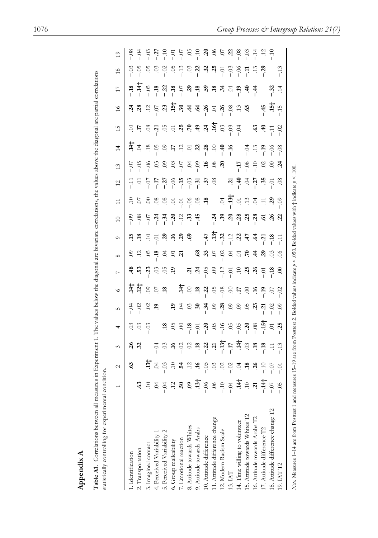| statistically controlling for experimen | tal condition                                        |                      |                 |                |                |                        |                |                     |                 |                |                |                |                |                |                 |                 |            |               |                |
|-----------------------------------------|------------------------------------------------------|----------------------|-----------------|----------------|----------------|------------------------|----------------|---------------------|-----------------|----------------|----------------|----------------|----------------|----------------|-----------------|-----------------|------------|---------------|----------------|
|                                         |                                                      | 2                    | 3               | 4              | 5              | $\circ$                | $\overline{a}$ | $\infty$            | $\circ$         | $\approx$      | $\Xi$          | $\overline{c}$ | 13             | $\overline{4}$ | $\frac{15}{2}$  | $\frac{6}{2}$   | $\Box$     | $\frac{8}{2}$ | $\overline{1}$ |
| l. Identification                       |                                                      | $\mathcal{S}$        | $\frac{26}{5}$  | S.             | $-0.4$         | $\ddot{1}$             | $\ddot{4}$     | $\odot$             | 4               | $\frac{5}{1}$  |                | F<br>T         | $-0$           | $\ddot{z}$     |                 | $\ddot{c}$      | $-18$      | $-03$         | $-0.8$         |
| 2. Transportation                       | 3.                                                   |                      | 32              | $\mathcal{L}$  | $-02$          | $^{12+}$               | 53             | $\ddot{5}$          | $\ddot{3}$      | $-0.8$         | $\rm C$        | $\Xi$          | $-0.5$         | $\ddot{\circ}$ | H.              | 28              | $-14$      | $-0.5$        | $-0.1$         |
| 3. Imagined contact                     | $\ddot{=}$                                           | 13 <sub>1</sub>      |                 | $-03$          | S.             | $\odot$                | $-23$          | $\ddot{\circ}$      | $\ddot{=}$      | $-0.7$         | $\odot$        | $-0.7$         | $-0.6$         |                | 08              | .12             | $-0.5$     | 05            | $-.03$         |
| I. Perceived Variability 1              | S.                                                   | $\ddot{\phantom{0}}$ | $-0.4$          |                | e              | $\overline{C}$         | $\overline{0}$ | $-18$               | $-0$            | $-24$          | 08             | $-17$          | $\mathcal{L}$  | $-0.5$         | $-21$           | $-0$            | $-18$      | .03           | $-27$          |
| 5. Perceived Variability 2              | $-0.4$                                               | $-03$                | 03              | $\ddot{3}$     |                | $\overline{18}$        | 05             | S.                  | 29              | $-34$          | .08            | $-27$          | $\odot$        | S.             | 05              | 23              | $-22$      | $-0.2$        | $\frac{1}{2}$  |
| 6. Group malleability                   | $\overline{.12}$                                     | $\ddot{=}$           | 9ŗ              | 05             | $\ddot{c}$     |                        | e.             | Ξ.                  | $\ddot{ }$      | $-20$          | $\Xi$          | $-0.6$         | S.             | E.             | Ξ.              | 151             | $-18$      | 05            | $-5$           |
| '. Emotional reaction                   | 50                                                   | r.,                  | $-02$           | $\odot$        | $\ddot{c}$     | 141                    |                | ឆ្                  | $\mathbf{S}$    | $-12$          | $-5$           | $-15$          | $-0.7$         | $\ddot{5}$     | 25              | 30              | $-0.7$     | $-13$         | $-0.7$         |
| 8. Attitude towards Whites              | $\odot$                                              | $\overline{12}$      | $\overline{0}$  | $-18$          | $\overline{0}$ | $\odot$                | żi             |                     | S,              | 33             | $-0.6$         | $-.03$         | S.             | $\Xi$          | .70             | $\ddot{4}$      | $\ddot{5}$ | 03            | 05             |
| 0. Attitude towards Arabs               | $.37 - .06$                                          | 9.                   | $\ddot{3}$      | $-0$           | 30             | $\ddot{.}$             | 24             | $\ddot{\textbf{6}}$ |                 | -45            | 08             | - 31<br>-      | $\frac{50}{1}$ | $\overline{c}$ | ą.              | $\ddot{q}$      | $-18$      | $-22$         | $-10$          |
| 10. Attitude difference                 |                                                      | $-0.5$               | $-22$           | <u>ีลุ</u>     | $-34$          | $-22$                  | $-0.5$         | 33                  | - 47            |                | .18            | .37            | ٩.             | $-28$          | $\ddot{c}$      | $-26$           | S.         | 32            | ຊ              |
| 11. Attitude difference change          | $\rm ^{90}$                                          | 03                   | $\ddot{5}$      | $\ddot{\circ}$ | $\odot$        | 05                     | $-0.9$         | $-0.7$              | 13 <sub>1</sub> | $-24$          |                | 08             | $-0.8$         | $\odot$        | 16 <sub>1</sub> | Ξ.              | $\ddot{3}$ | .25           | $-0.6$         |
| 12. Modern Racism Scale                 | $-10$<br>$-10$                                       | 02                   | $-131$          | ى<br>16        | $-28$          | $-0.8$                 | $-12$          | $-02$               | $-32$           | 39             | $\ddot{5}$     |                | $\overline{a}$ | $\ddot{=}$     | $\mathcal{L}$   | $-26$           | $\ddot{3}$ | $-01$         | $07$           |
| 13. IAT                                 |                                                      | $-02$                | $-17$           | $\ddot{\circ}$ | S.             | $\mathop{\mathrm{SO}}$ | Ξ<br>Γ         | $\widetilde{c}$     | $-12$           | $\mathfrak{g}$ | $-131$         | <u>يا</u>      |                | $-16$          | $-0.9$          | $-0.8$          | $\Xi$      | $-.03$        | $\overline{c}$ |
| 14. Time willing to volunteer           |                                                      | S.                   | 14 <sub>1</sub> | $-0.5$         | SO.            | H.                     | $\ddot{=}$     | $\Xi$               | 22              | $-0.28$        | $\overline{C}$ | $\ddot{=}$     | -17            |                | $-0.1$          | $\ddot{13}$     | ှို        | $-0.6$        | $-0.8$         |
| 15. Attitude towards Whites T2          |                                                      | $\ddot{.}$           | .03             | $-20$          | 05             | S                      | 25             | ۶.                  | 47              | .25            | $\ddot{.}13$   | S.             | $-0.8$         | $-0.4$         |                 | 59.             | $\ddot{ }$ | 류<br>-        | $-.03$         |
| 16. Attitude towards Arabs T2           |                                                      | $\frac{26}{5}$       | $\ddot{.}$      | $-08$          | $\ddot{c}$     | ٩.                     | $\mathfrak{Z}$ | $\ddot{4}$          | $\ddot{q}$      | $-28$          | $\ddot{c}$     | $-27$          | $\frac{1}{1}$  | $\ddot{1}$     | 63              |                 | $-4.$      | $\ddot{.}$    | $-14$          |
| 7. Attitude difference T2               |                                                      | $-10$                | $-18$           | $-151$         | - 21<br>-      | ۹.                     | Ξ.             | $\mathfrak{L}$      | $-21$           | ভ়             | $\Xi$          | 35             | $\mathcal{S}$  | <u>ှ</u>       | ३               | -45             |            | $-29$         | $\ddot{c}$     |
| 18. Attitude difference change T2       | $\frac{44}{19}$<br>$\frac{5}{19}$<br>$\frac{14}{19}$ | $-0.7$               |                 | Ξ.             | $-02$          | $07$                   | $-18$          | $\Omega$            | $-18$           | 9č.            | $\mathfrak{L}$ | $-5$           | $\odot$        | $-0.6$         | 류               | 15 <sub>1</sub> | - 32<br>-  |               | $-10$          |
| 19. IAT T2                              | $-0.5$                                               | $-5$                 | $-13$           | 25             | $-0.9$         | $-02$                  | S              | $\frac{6}{2}$       | 두               | $\ddot{c}$     | $-0.9$         | 08             | 24             | $-0.8$         | $-02$           | $-15$           | $\ddot{=}$ | $-13$         |                |

 $\overline{1}$